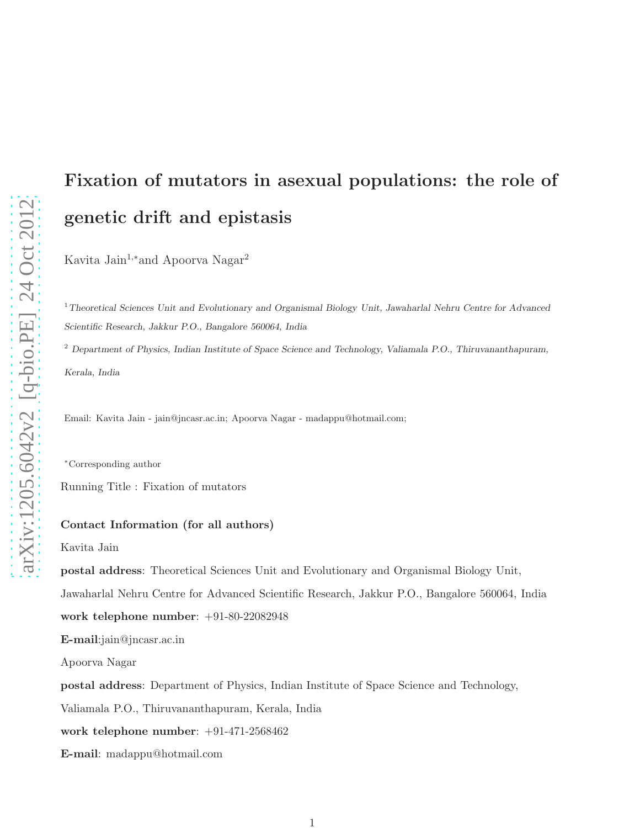# Fixation of mutators in asexual populations: the role of genetic drift and epistasis

Kavita Jain<sup>1,∗</sup>and Apoorva Nagar<sup>2</sup>

<sup>1</sup>Theoretical Sciences Unit and Evolutionary and Organismal Biology Unit, Jawaharlal Nehru Centre for Advanced Scientific Research, Jakkur P.O., Bangalore 560064, India

<sup>2</sup> Department of Physics, Indian Institute of Space Science and Technology, Valiamala P.O., Thiruvananthapuram, Kerala, India

Email: Kavita Jain - jain@jncasr.ac.in; Apoorva Nagar - madappu@hotmail.com;

<sup>∗</sup>Corresponding author

Running Title : Fixation of mutators

#### Contact Information (for all authors)

Kavita Jain

postal address: Theoretical Sciences Unit and Evolutionary and Organismal Biology Unit,

Jawaharlal Nehru Centre for Advanced Scientific Research, Jakkur P.O., Bangalore 560064, India

work telephone number: +91-80-22082948

E-mail:jain@jncasr.ac.in

Apoorva Nagar

postal address: Department of Physics, Indian Institute of Space Science and Technology,

Valiamala P.O., Thiruvananthapuram, Kerala, India

work telephone number: +91-471-2568462

E-mail: madappu@hotmail.com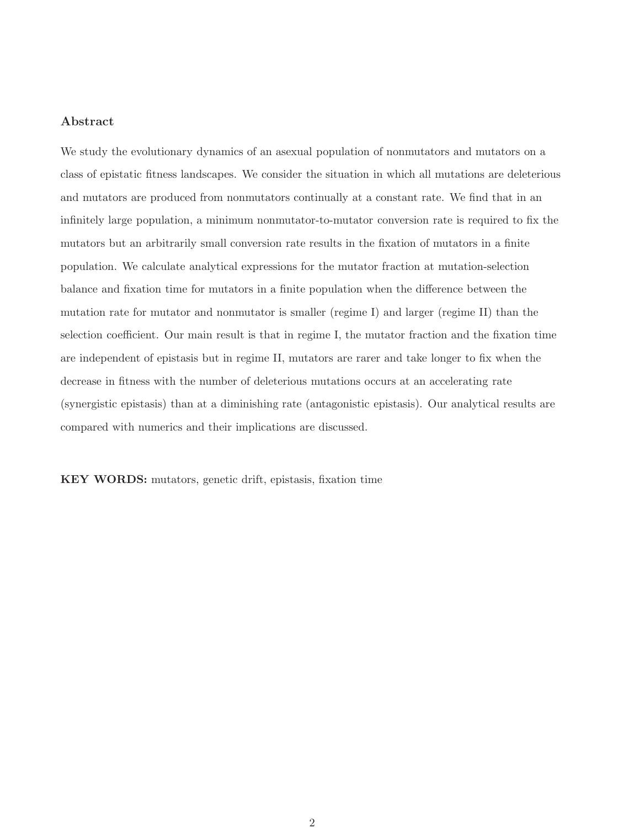#### Abstract

We study the evolutionary dynamics of an asexual population of nonmutators and mutators on a class of epistatic fitness landscapes. We consider the situation in which all mutations are deleterious and mutators are produced from nonmutators continually at a constant rate. We find that in an infinitely large population, a minimum nonmutator-to-mutator conversion rate is required to fix the mutators but an arbitrarily small conversion rate results in the fixation of mutators in a finite population. We calculate analytical expressions for the mutator fraction at mutation-selection balance and fixation time for mutators in a finite population when the difference between the mutation rate for mutator and nonmutator is smaller (regime I) and larger (regime II) than the selection coefficient. Our main result is that in regime I, the mutator fraction and the fixation time are independent of epistasis but in regime II, mutators are rarer and take longer to fix when the decrease in fitness with the number of deleterious mutations occurs at an accelerating rate (synergistic epistasis) than at a diminishing rate (antagonistic epistasis). Our analytical results are compared with numerics and their implications are discussed.

KEY WORDS: mutators, genetic drift, epistasis, fixation time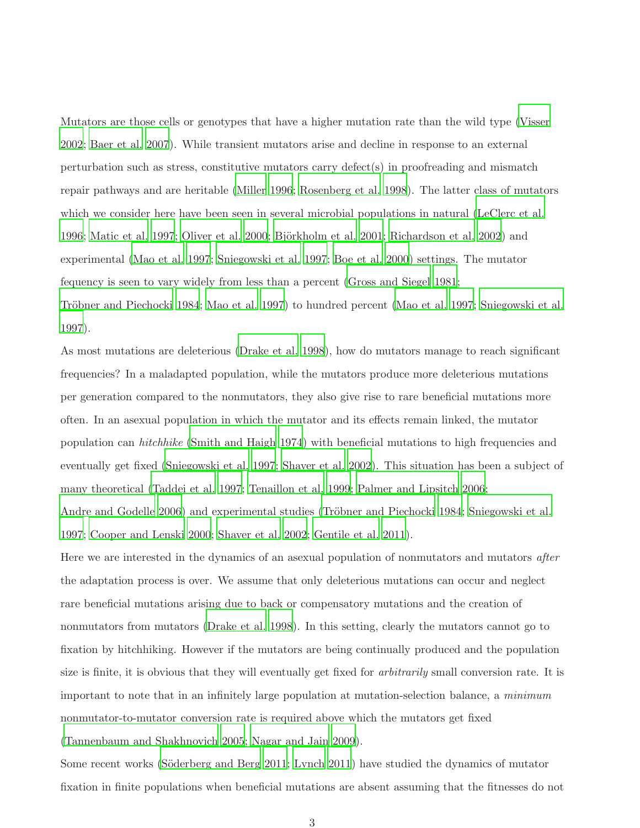Mutators are those cells or genotypes that have a higher mutation rate than the wild type [\(Visser](#page-22-0) [2002](#page-22-0); [Baer et al. 2007](#page-19-0)). While transient mutators arise and decline in response to an external perturbation such as stress, constitutive mutators carry defect(s) in proofreading and mismatch repair pathways and are heritable [\(Miller 1996](#page-21-0); [Rosenberg et al. 1998](#page-22-1)). The latter class of mutators which we consider here have been seen in several microbial populations in natural [\(LeClerc et al.](#page-20-0) [1996](#page-20-0); [Matic et al. 1997](#page-21-1); [Oliver et al. 2000](#page-21-2); Björkholm et al. [2001](#page-19-1); [Richardson et al. 2002\)](#page-22-2) and experimental [\(Mao et al. 1997](#page-21-3); [Sniegowski et al. 1997](#page-22-3); [Boe et](#page-19-2) al. [2000](#page-19-2)) settings. The mutator fequency is seen to vary widely from less than a percent [\(Gross and Siegel 1981](#page-20-1); Tröbner and Piechocki 1984; [Mao et al. 1997\)](#page-21-3) to hundred percent [\(Mao et al. 1997](#page-21-3); [Sniegowski et al.](#page-22-3) [1997](#page-22-3)).

As most mutations are deleterious [\(Drake et al. 1998\)](#page-19-3), how do mutators manage to reach significant frequencies? In a maladapted population, while the mutators produce more deleterious mutations per generation compared to the nonmutators, they also give rise to rare beneficial mutations more often. In an asexual population in which the mutator and its effects remain linked, the mutator population can *hitchhike* [\(Smith and Haigh 1974](#page-22-5)) with beneficial mutations to high frequencies and eventually get fixed [\(Sniegowski et al. 1997](#page-22-3); [Shaver et al. 2002](#page-22-6)). This situation has been a subject of many theoretical [\(Taddei et al. 1997](#page-22-7); [Tenaillon et al. 1999](#page-22-8); [Palmer and Lipsitch 2006](#page-21-4); [Andre and Godelle 2006\)](#page-19-4) and experimental studies (Tröbner [and Piechocki 1984;](#page-22-4) [Sniegowski et al.](#page-22-3) [1997](#page-22-3); [Cooper and Lenski 2000;](#page-19-5) [Shaver et al. 2002;](#page-22-6) [Gentile et al. 2011](#page-19-6)).

Here we are interested in the dynamics of an asexual population of nonmutators and mutators *after* the adaptation process is over. We assume that only deleterious mutations can occur and neglect rare beneficial mutations arising due to back or compensatory mutations and the creation of nonmutators from mutators [\(Drake et al. 1998](#page-19-3)). In this setting, clearly the mutators cannot go to fixation by hitchhiking. However if the mutators are being continually produced and the population size is finite, it is obvious that they will eventually get fixed for *arbitrarily* small conversion rate. It is important to note that in an infinitely large population at mutation-selection balance, a *minimum* nonmutator-to-mutator conversion rate is required above which the mutators get fixed [\(Tannenbaum and Shakhnovich 2005](#page-22-9); [Nagar and Jain 2009](#page-21-5)).

Some recent works (Söderberg and Berg 2011; [Lynch 2011](#page-20-2)) have studied the dynamics of mutator fixation in finite populations when beneficial mutations are absent assuming that the fitnesses do not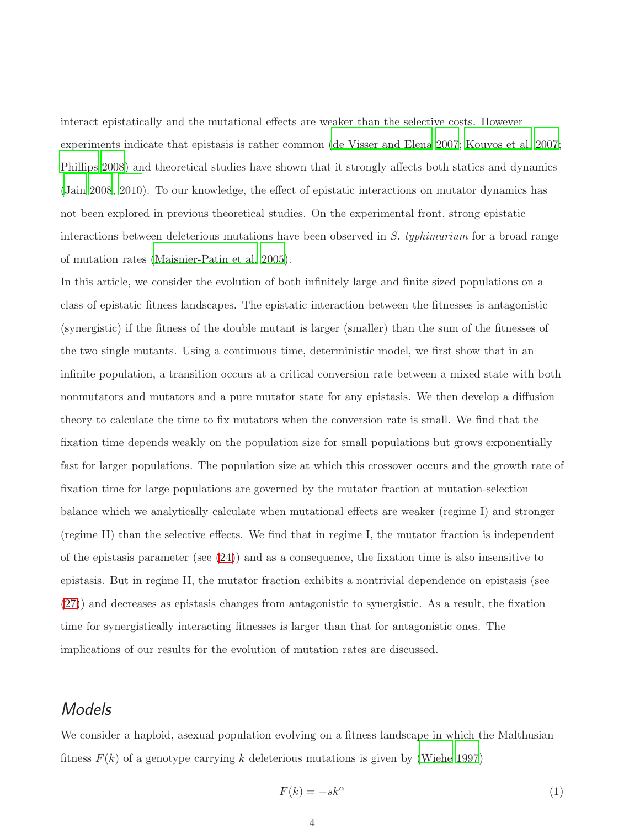interact epistatically and the mutational effects are weaker than the selective costs. However experiments indicate that epistasis is rather common [\(de Visser and Elena 2007](#page-23-0); [Kouyos et al. 2007](#page-20-3); [Phillips 2008](#page-21-6)) and theoretical studies have shown that it strongly affects both statics and dynamics [\(Jain 2008](#page-20-4), [2010](#page-20-5)). To our knowledge, the effect of epistatic interactions on mutator dynamics has not been explored in previous theoretical studies. On the experimental front, strong epistatic interactions between deleterious mutations have been observed in *S. typhimurium* for a broad range of mutation rates [\(Maisnier-Patin et al. 2005](#page-21-7)).

In this article, we consider the evolution of both infinitely large and finite sized populations on a class of epistatic fitness landscapes. The epistatic interaction between the fitnesses is antagonistic (synergistic) if the fitness of the double mutant is larger (smaller) than the sum of the fitnesses of the two single mutants. Using a continuous time, deterministic model, we first show that in an infinite population, a transition occurs at a critical conversion rate between a mixed state with both nonmutators and mutators and a pure mutator state for any epistasis. We then develop a diffusion theory to calculate the time to fix mutators when the conversion rate is small. We find that the fixation time depends weakly on the population size for small populations but grows exponentially fast for larger populations. The population size at which this crossover occurs and the growth rate of fixation time for large populations are governed by the mutator fraction at mutation-selection balance which we analytically calculate when mutational effects are weaker (regime I) and stronger (regime II) than the selective effects. We find that in regime I, the mutator fraction is independent of the epistasis parameter (see  $(24)$ ) and as a consequence, the fixation time is also insensitive to epistasis. But in regime II, the mutator fraction exhibits a nontrivial dependence on epistasis (see [\(27\)](#page-8-1)) and decreases as epistasis changes from antagonistic to synergistic. As a result, the fixation time for synergistically interacting fitnesses is larger than that for antagonistic ones. The implications of our results for the evolution of mutation rates are discussed.

### Models

We consider a haploid, asexual population evolving on a fitness landscape in which the Malthusian fitness  $F(k)$  of a genotype carrying k deleterious mutations is given by [\(Wiehe 1997](#page-23-1))

<span id="page-3-0"></span>
$$
F(k) = -sk^{\alpha} \tag{1}
$$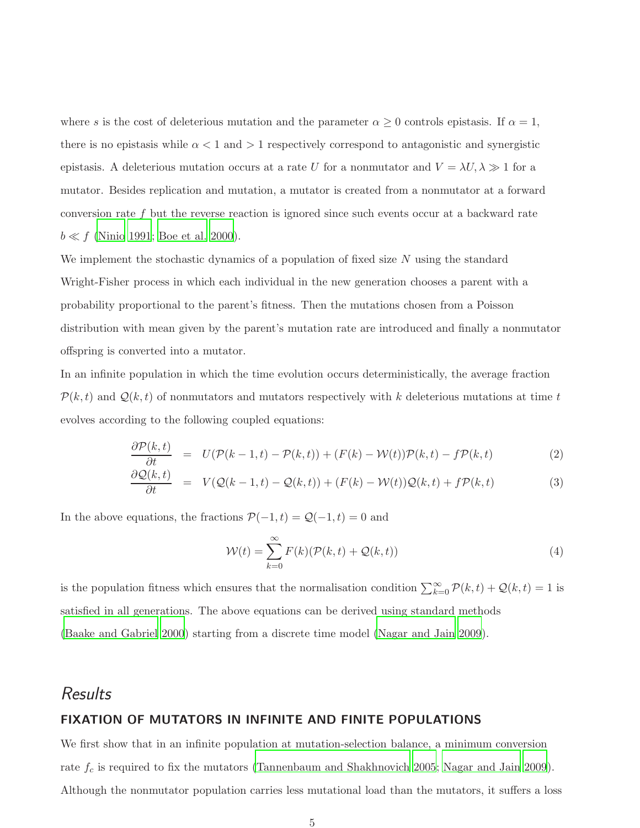where s is the cost of deleterious mutation and the parameter  $\alpha \geq 0$  controls epistasis. If  $\alpha = 1$ , there is no epistasis while  $\alpha < 1$  and  $> 1$  respectively correspond to antagonistic and synergistic epistasis. A deleterious mutation occurs at a rate U for a nonmutator and  $V = \lambda U, \lambda \gg 1$  for a mutator. Besides replication and mutation, a mutator is created from a nonmutator at a forward conversion rate f but the reverse reaction is ignored since such events occur at a backward rate  $b \ll f$  [\(Ninio 1991](#page-21-8); [Boe et al. 2000](#page-19-2)).

We implement the stochastic dynamics of a population of fixed size  $N$  using the standard Wright-Fisher process in which each individual in the new generation chooses a parent with a probability proportional to the parent's fitness. Then the mutations chosen from a Poisson distribution with mean given by the parent's mutation rate are introduced and finally a nonmutator offspring is converted into a mutator.

In an infinite population in which the time evolution occurs deterministically, the average fraction  $\mathcal{P}(k,t)$  and  $\mathcal{Q}(k,t)$  of nonmutators and mutators respectively with k deleterious mutations at time t evolves according to the following coupled equations:

<span id="page-4-0"></span>
$$
\frac{\partial \mathcal{P}(k,t)}{\partial t} = U(\mathcal{P}(k-1,t) - \mathcal{P}(k,t)) + (F(k) - \mathcal{W}(t))\mathcal{P}(k,t) - f\mathcal{P}(k,t) \tag{2}
$$

$$
\frac{\partial \mathcal{Q}(k,t)}{\partial t} = V(\mathcal{Q}(k-1,t) - \mathcal{Q}(k,t)) + (F(k) - \mathcal{W}(t))\mathcal{Q}(k,t) + f\mathcal{P}(k,t) \tag{3}
$$

In the above equations, the fractions  $\mathcal{P}(-1, t) = \mathcal{Q}(-1, t) = 0$  and

$$
\mathcal{W}(t) = \sum_{k=0}^{\infty} F(k)(\mathcal{P}(k,t) + \mathcal{Q}(k,t))
$$
\n(4)

is the population fitness which ensures that the normalisation condition  $\sum_{k=0}^{\infty} \mathcal{P}(k,t) + \mathcal{Q}(k,t) = 1$  is satisfied in all generations. The above equations can be derived using standard methods [\(Baake and Gabriel 2000](#page-19-7)) starting from a discrete time model [\(Nagar and Jain 2009\)](#page-21-5).

### **Results**

#### FIXATION OF MUTATORS IN INFINITE AND FINITE POPULATIONS

We first show that in an infinite population at mutation-selection balance, a minimum conversion rate  $f_c$  is required to fix the mutators [\(Tannenbaum and Shakhnovich 2005](#page-22-9); [Nagar and Jain 2009](#page-21-5)). Although the nonmutator population carries less mutational load than the mutators, it suffers a loss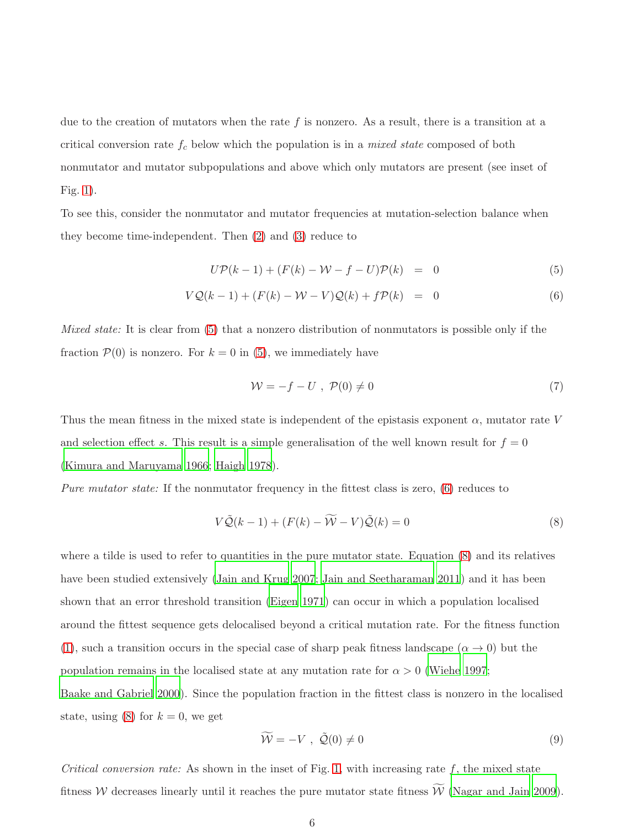due to the creation of mutators when the rate f is nonzero. As a result, there is a transition at a critical conversion rate f<sup>c</sup> below which the population is in a *mixed state* composed of both nonmutator and mutator subpopulations and above which only mutators are present (see inset of Fig. [1\)](#page-24-0).

To see this, consider the nonmutator and mutator frequencies at mutation-selection balance when they become time-independent. Then [\(2\)](#page-4-0) and [\(3\)](#page-4-0) reduce to

<span id="page-5-0"></span>
$$
U\mathcal{P}(k-1) + (F(k) - \mathcal{W} - f - U)\mathcal{P}(k) = 0 \tag{5}
$$

$$
VQ(k-1) + (F(k) - W - V)Q(k) + f\mathcal{P}(k) = 0
$$
\n(6)

*Mixed state:* It is clear from [\(5\)](#page-5-0) that a nonzero distribution of nonmutators is possible only if the fraction  $\mathcal{P}(0)$  is nonzero. For  $k = 0$  in [\(5\)](#page-5-0), we immediately have

<span id="page-5-2"></span>
$$
\mathcal{W} = -f - U \ , \ \mathcal{P}(0) \neq 0 \tag{7}
$$

Thus the mean fitness in the mixed state is independent of the epistasis exponent  $\alpha$ , mutator rate V and selection effect s. This result is a simple generalisation of the well known result for  $f = 0$ [\(Kimura and Maruyama 1966](#page-20-6); [Haigh 1978](#page-20-7)).

*Pure mutator state:* If the nonmutator frequency in the fittest class is zero, [\(6\)](#page-5-0) reduces to

<span id="page-5-1"></span>
$$
V\tilde{\mathcal{Q}}(k-1) + (F(k) - \widetilde{W} - V)\tilde{\mathcal{Q}}(k) = 0
$$
\n(8)

where a tilde is used to refer to quantities in the pure mutator state. Equation [\(8\)](#page-5-1) and its relatives have been studied extensively [\(Jain and Krug 2007;](#page-20-8) [Jain and Seetharaman 2011\)](#page-20-9) and it has been shown that an error threshold transition [\(Eigen 1971\)](#page-19-8) can occur in which a population localised around the fittest sequence gets delocalised beyond a critical mutation rate. For the fitness function [\(1\)](#page-3-0), such a transition occurs in the special case of sharp peak fitness landscape  $(\alpha \to 0)$  but the population remains in the localised state at any mutation rate for  $\alpha > 0$  [\(Wiehe 1997](#page-23-1); [Baake and Gabriel 2000](#page-19-7)). Since the population fraction in the fittest class is nonzero in the localised state, using [\(8\)](#page-5-1) for  $k = 0$ , we get

<span id="page-5-3"></span>
$$
\widetilde{\mathcal{W}} = -V \ , \ \widetilde{\mathcal{Q}}(0) \neq 0 \tag{9}
$$

*Critical conversion rate:* As shown in the inset of Fig. [1,](#page-24-0) with increasing rate  $f$ , the mixed state fitness W decreases linearly until it reaches the pure mutator state fitness  $\widetilde{W}$  [\(Nagar and Jain 2009](#page-21-5)).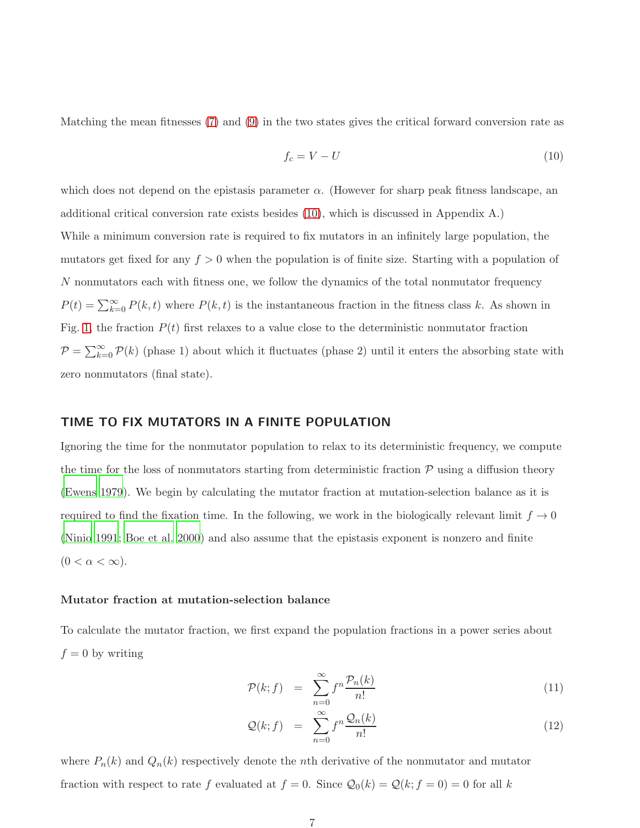Matching the mean fitnesses [\(7\)](#page-5-2) and [\(9\)](#page-5-3) in the two states gives the critical forward conversion rate as

<span id="page-6-0"></span>
$$
f_c = V - U \tag{10}
$$

which does not depend on the epistasis parameter  $\alpha$ . (However for sharp peak fitness landscape, an additional critical conversion rate exists besides [\(10\)](#page-6-0), which is discussed in Appendix A.) While a minimum conversion rate is required to fix mutators in an infinitely large population, the mutators get fixed for any  $f > 0$  when the population is of finite size. Starting with a population of N nonmutators each with fitness one, we follow the dynamics of the total nonmutator frequency  $P(t) = \sum_{k=0}^{\infty} P(k, t)$  where  $P(k, t)$  is the instantaneous fraction in the fitness class k. As shown in Fig. [1,](#page-24-0) the fraction  $P(t)$  first relaxes to a value close to the deterministic nonmutator fraction  $P = \sum_{k=0}^{\infty} P(k)$  (phase 1) about which it fluctuates (phase 2) until it enters the absorbing state with zero nonmutators (final state).

#### TIME TO FIX MUTATORS IN A FINITE POPULATION

Ignoring the time for the nonmutator population to relax to its deterministic frequency, we compute the time for the loss of nonmutators starting from deterministic fraction  $P$  using a diffusion theory [\(Ewens 1979](#page-19-9)). We begin by calculating the mutator fraction at mutation-selection balance as it is required to find the fixation time. In the following, we work in the biologically relevant limit  $f \to 0$ [\(Ninio 1991](#page-21-8); [Boe et al. 2000](#page-19-2)) and also assume that the epistasis exponent is nonzero and finite  $(0 < \alpha < \infty).$ 

#### Mutator fraction at mutation-selection balance

To calculate the mutator fraction, we first expand the population fractions in a power series about  $f = 0$  by writing

<span id="page-6-1"></span>
$$
\mathcal{P}(k; f) = \sum_{n=0}^{\infty} f^n \frac{\mathcal{P}_n(k)}{n!} \tag{11}
$$

$$
\mathcal{Q}(k; f) = \sum_{n=0}^{\infty} f^n \frac{\mathcal{Q}_n(k)}{n!}
$$
 (12)

where  $P_n(k)$  and  $Q_n(k)$  respectively denote the *n*th derivative of the nonmutator and mutator fraction with respect to rate f evaluated at  $f = 0$ . Since  $\mathcal{Q}_0(k) = \mathcal{Q}(k; f = 0) = 0$  for all k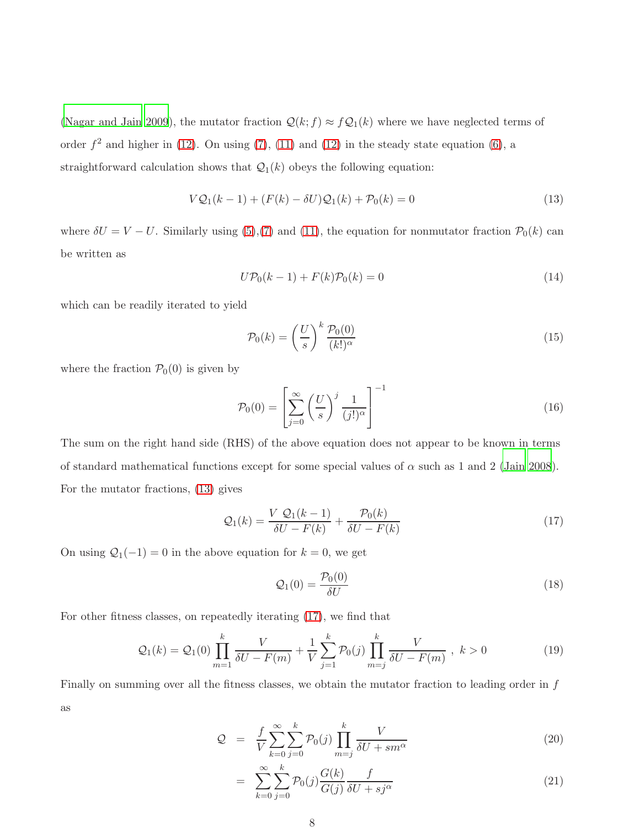[\(Nagar and Jain 2009](#page-21-5)), the mutator fraction  $\mathcal{Q}(k; f) \approx f \mathcal{Q}_1(k)$  where we have neglected terms of order  $f^2$  and higher in [\(12\)](#page-6-1). On using [\(7\)](#page-5-2), [\(11\)](#page-6-1) and (12) in the steady state equation [\(6\)](#page-5-0), a straightforward calculation shows that  $\mathcal{Q}_1(k)$  obeys the following equation:

<span id="page-7-0"></span>
$$
VQ_1(k-1) + (F(k) - \delta U)Q_1(k) + P_0(k) = 0
$$
\n(13)

where  $\delta U = V - U$ . Similarly using [\(5\)](#page-5-0),[\(7\)](#page-5-2) and [\(11\)](#page-6-1), the equation for nonmutator fraction  $\mathcal{P}_0(k)$  can be written as

$$
U\mathcal{P}_0(k-1) + F(k)\mathcal{P}_0(k) = 0\tag{14}
$$

which can be readily iterated to yield

<span id="page-7-4"></span>
$$
\mathcal{P}_0(k) = \left(\frac{U}{s}\right)^k \frac{\mathcal{P}_0(0)}{(k!)^\alpha} \tag{15}
$$

where the fraction  $P_0(0)$  is given by

$$
\mathcal{P}_0(0) = \left[ \sum_{j=0}^{\infty} \left( \frac{U}{s} \right)^j \frac{1}{(j!)^{\alpha}} \right]^{-1} \tag{16}
$$

The sum on the right hand side (RHS) of the above equation does not appear to be known in terms of standard mathematical functions except for some special values of  $\alpha$  such as 1 and 2 [\(Jain 2008\)](#page-20-4). For the mutator fractions, [\(13\)](#page-7-0) gives

<span id="page-7-1"></span>
$$
\mathcal{Q}_1(k) = \frac{V \mathcal{Q}_1(k-1)}{\delta U - F(k)} + \frac{\mathcal{P}_0(k)}{\delta U - F(k)}\tag{17}
$$

On using  $\mathcal{Q}_1(-1) = 0$  in the above equation for  $k = 0$ , we get

<span id="page-7-3"></span>
$$
\mathcal{Q}_1(0) = \frac{\mathcal{P}_0(0)}{\delta U} \tag{18}
$$

For other fitness classes, on repeatedly iterating [\(17\)](#page-7-1), we find that

$$
Q_1(k) = Q_1(0) \prod_{m=1}^k \frac{V}{\delta U - F(m)} + \frac{1}{V} \sum_{j=1}^k \mathcal{P}_0(j) \prod_{m=j}^k \frac{V}{\delta U - F(m)}, \quad k > 0
$$
 (19)

Finally on summing over all the fitness classes, we obtain the mutator fraction to leading order in  $f$ as

<span id="page-7-2"></span>
$$
Q = \frac{f}{V} \sum_{k=0}^{\infty} \sum_{j=0}^{k} \mathcal{P}_0(j) \prod_{m=j}^{k} \frac{V}{\delta U + sm^{\alpha}}
$$
(20)

$$
= \sum_{k=0}^{\infty} \sum_{j=0}^{k} \mathcal{P}_0(j) \frac{G(k)}{G(j)} \frac{f}{\delta U + s j^{\alpha}} \tag{21}
$$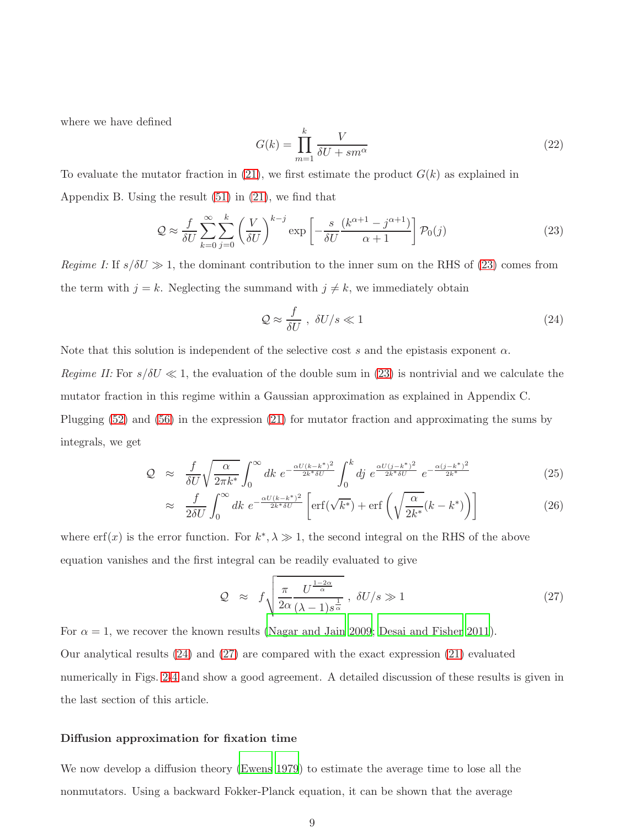where we have defined

<span id="page-8-3"></span>
$$
G(k) = \prod_{m=1}^{k} \frac{V}{\delta U + sm^{\alpha}}
$$
\n(22)

To evaluate the mutator fraction in  $(21)$ , we first estimate the product  $G(k)$  as explained in Appendix B. Using the result [\(51\)](#page-17-0) in [\(21\)](#page-7-2), we find that

<span id="page-8-2"></span>
$$
\mathcal{Q} \approx \frac{f}{\delta U} \sum_{k=0}^{\infty} \sum_{j=0}^{k} \left(\frac{V}{\delta U}\right)^{k-j} \exp\left[-\frac{s}{\delta U} \frac{(k^{\alpha+1} - j^{\alpha+1})}{\alpha + 1}\right] \mathcal{P}_0(j) \tag{23}
$$

*Regime I:* If  $s/\delta U \gg 1$ , the dominant contribution to the inner sum on the RHS of [\(23\)](#page-8-2) comes from the term with  $j = k$ . Neglecting the summand with  $j \neq k$ , we immediately obtain

<span id="page-8-0"></span>
$$
\mathcal{Q} \approx \frac{f}{\delta U}, \ \delta U/s \ll 1 \tag{24}
$$

Note that this solution is independent of the selective cost s and the epistasis exponent  $\alpha$ .

*Regime II:* For  $s/\delta U \ll 1$ , the evaluation of the double sum in [\(23\)](#page-8-2) is nontrivial and we calculate the mutator fraction in this regime within a Gaussian approximation as explained in Appendix C. Plugging [\(52\)](#page-17-1) and [\(56\)](#page-17-2) in the expression [\(21\)](#page-7-2) for mutator fraction and approximating the sums by integrals, we get

$$
\mathcal{Q} \approx \frac{f}{\delta U} \sqrt{\frac{\alpha}{2\pi k^*}} \int_0^\infty dk \ e^{-\frac{\alpha U (k - k^*)^2}{2k^* \delta U}} \int_0^k dj \ e^{\frac{\alpha U (j - k^*)^2}{2k^* \delta U}} \ e^{-\frac{\alpha (j - k^*)^2}{2k^*}} \tag{25}
$$

$$
\approx \frac{f}{2\delta U} \int_0^\infty dk \ e^{-\frac{\alpha U(k-k^*)^2}{2k^*\delta U}} \left[ \text{erf}(\sqrt{k^*}) + \text{erf}\left(\sqrt{\frac{\alpha}{2k^*}}(k-k^*)\right) \right] \tag{26}
$$

where  $\text{erf}(x)$  is the error function. For  $k^*, \lambda \gg 1$ , the second integral on the RHS of the above equation vanishes and the first integral can be readily evaluated to give

<span id="page-8-1"></span>
$$
\mathcal{Q} \approx f \sqrt{\frac{\pi}{2\alpha} \frac{U^{\frac{1-2\alpha}{\alpha}}}{(\lambda - 1)s^{\frac{1}{\alpha}}}} , \delta U/s \gg 1 \tag{27}
$$

For  $\alpha = 1$ , we recover the known results [\(Nagar and Jain 2009](#page-21-5); [Desai and Fisher 2011](#page-19-10)).

Our analytical results [\(24\)](#page-8-0) and [\(27\)](#page-8-1) are compared with the exact expression [\(21\)](#page-7-2) evaluated numerically in Figs. [2-](#page-25-0)[4](#page-27-0) and show a good agreement. A detailed discussion of these results is given in the last section of this article.

#### Diffusion approximation for fixation time

We now develop a diffusion theory [\(Ewens 1979\)](#page-19-9) to estimate the average time to lose all the nonmutators. Using a backward Fokker-Planck equation, it can be shown that the average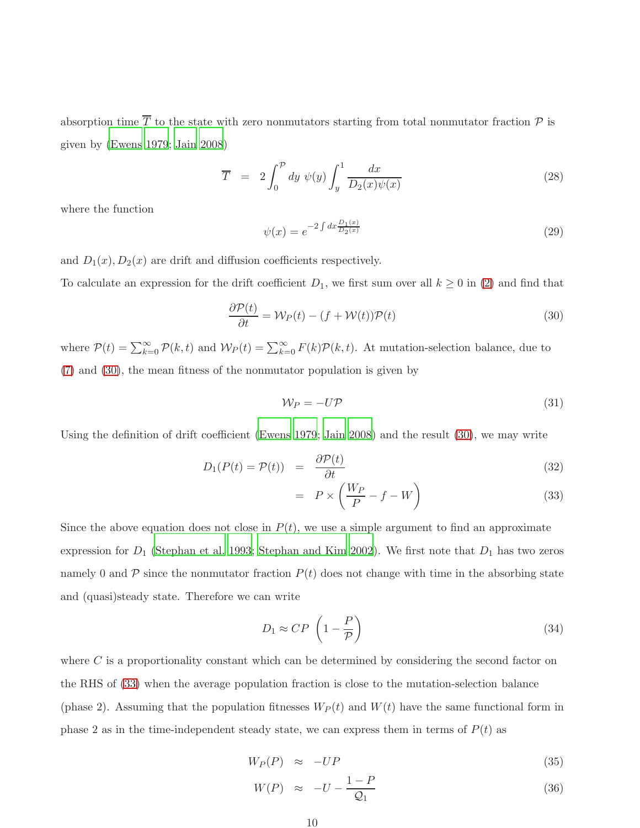absorption time  $\overline{T}$  to the state with zero nonmutators starting from total nonmutator fraction  $\mathcal P$  is given by [\(Ewens 1979](#page-19-9); [Jain 2008](#page-20-4))

<span id="page-9-4"></span>
$$
\overline{T} = 2 \int_0^{\mathcal{P}} dy \ \psi(y) \int_y^1 \frac{dx}{D_2(x)\psi(x)} \tag{28}
$$

where the function

<span id="page-9-5"></span>
$$
\psi(x) = e^{-2 \int dx \frac{D_1(x)}{D_2(x)}}\tag{29}
$$

and  $D_1(x)$ ,  $D_2(x)$  are drift and diffusion coefficients respectively.

To calculate an expression for the drift coefficient  $D_1$ , we first sum over all  $k \geq 0$  in [\(2\)](#page-4-0) and find that

<span id="page-9-0"></span>
$$
\frac{\partial \mathcal{P}(t)}{\partial t} = \mathcal{W}_P(t) - (f + \mathcal{W}(t))\mathcal{P}(t)
$$
\n(30)

where  $\mathcal{P}(t) = \sum_{k=0}^{\infty} \mathcal{P}(k,t)$  and  $\mathcal{W}_P(t) = \sum_{k=0}^{\infty} F(k)\mathcal{P}(k,t)$ . At mutation-selection balance, due to [\(7\)](#page-5-2) and [\(30\)](#page-9-0), the mean fitness of the nonmutator population is given by

<span id="page-9-2"></span>
$$
\mathcal{W}_P = -U\mathcal{P} \tag{31}
$$

Using the definition of drift coefficient [\(Ewens 1979](#page-19-9); [Jain 2008\)](#page-20-4) and the result [\(30\)](#page-9-0), we may write

<span id="page-9-1"></span>
$$
D_1(P(t) = P(t)) = \frac{\partial P(t)}{\partial t}
$$
\n(32)

$$
= P \times \left(\frac{W_P}{P} - f - W\right) \tag{33}
$$

Since the above equation does not close in  $P(t)$ , we use a simple argument to find an approximate expression for  $D_1$  [\(Stephan et al. 1993;](#page-22-11) [Stephan and Kim 2002](#page-22-12)). We first note that  $D_1$  has two zeros namely 0 and  $\mathcal P$  since the nonmutator fraction  $P(t)$  does not change with time in the absorbing state and (quasi)steady state. Therefore we can write

<span id="page-9-3"></span>
$$
D_1 \approx CP \left(1 - \frac{P}{P}\right) \tag{34}
$$

where  $C$  is a proportionality constant which can be determined by considering the second factor on the RHS of [\(33\)](#page-9-1) when the average population fraction is close to the mutation-selection balance (phase 2). Assuming that the population fitnesses  $W_P(t)$  and  $W(t)$  have the same functional form in phase 2 as in the time-independent steady state, we can express them in terms of  $P(t)$  as

$$
W_P(P) \approx -UP \tag{35}
$$

$$
W(P) \approx -U - \frac{1 - P}{Q_1} \tag{36}
$$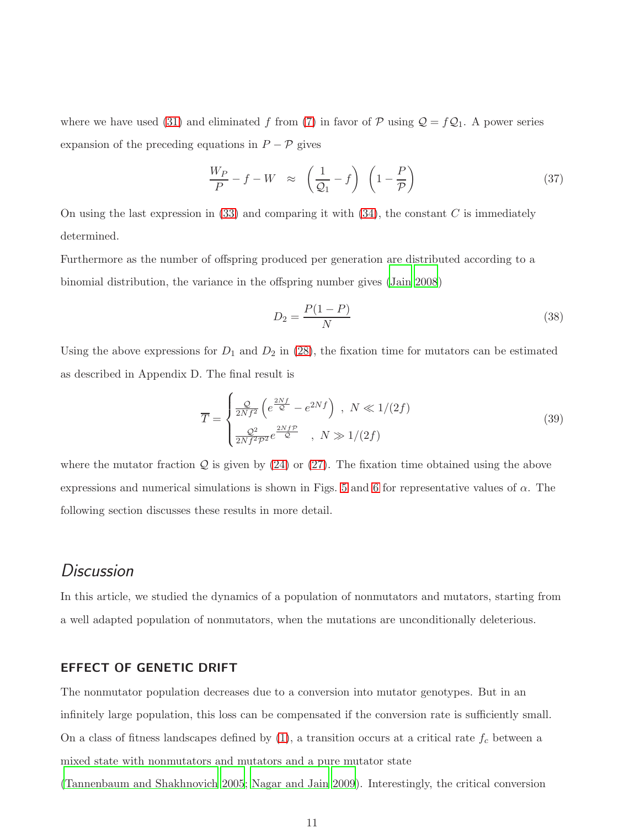where we have used [\(31\)](#page-9-2) and eliminated f from [\(7\)](#page-5-2) in favor of  $P$  using  $Q = fQ_1$ . A power series expansion of the preceding equations in  $P-\mathcal{P}$  gives

$$
\frac{W_P}{P} - f - W \approx \left(\frac{1}{Q_1} - f\right) \left(1 - \frac{P}{P}\right) \tag{37}
$$

On using the last expression in  $(33)$  and comparing it with  $(34)$ , the constant C is immediately determined.

Furthermore as the number of offspring produced per generation are distributed according to a binomial distribution, the variance in the offspring number gives [\(Jain 2008](#page-20-4))

<span id="page-10-1"></span>
$$
D_2 = \frac{P(1 - P)}{N} \tag{38}
$$

Using the above expressions for  $D_1$  and  $D_2$  in [\(28\)](#page-9-4), the fixation time for mutators can be estimated as described in Appendix D. The final result is

<span id="page-10-0"></span>
$$
\overline{T} = \begin{cases}\n\frac{Q}{2Nf^2} \left( e^{\frac{2Nf}{Q}} - e^{2Nf} \right) , & N \ll 1/(2f) \\
\frac{Q^2}{2Nf^2\mathcal{P}^2} e^{\frac{2Nf\mathcal{P}}{Q}} , & N \gg 1/(2f)\n\end{cases}
$$
\n(39)

where the mutator fraction  $Q$  is given by [\(24\)](#page-8-0) or [\(27\)](#page-8-1). The fixation time obtained using the above expressions and numerical simulations is shown in Figs. [5](#page-28-0) and [6](#page-29-0) for representative values of  $\alpha$ . The following section discusses these results in more detail.

### **Discussion**

In this article, we studied the dynamics of a population of nonmutators and mutators, starting from a well adapted population of nonmutators, when the mutations are unconditionally deleterious.

#### EFFECT OF GENETIC DRIFT

The nonmutator population decreases due to a conversion into mutator genotypes. But in an infinitely large population, this loss can be compensated if the conversion rate is sufficiently small. On a class of fitness landscapes defined by  $(1)$ , a transition occurs at a critical rate  $f_c$  between a mixed state with nonmutators and mutators and a pure mutator state

[\(Tannenbaum and Shakhnovich 2005](#page-22-9); [Nagar and Jain 2009](#page-21-5)). Interestingly, the critical conversion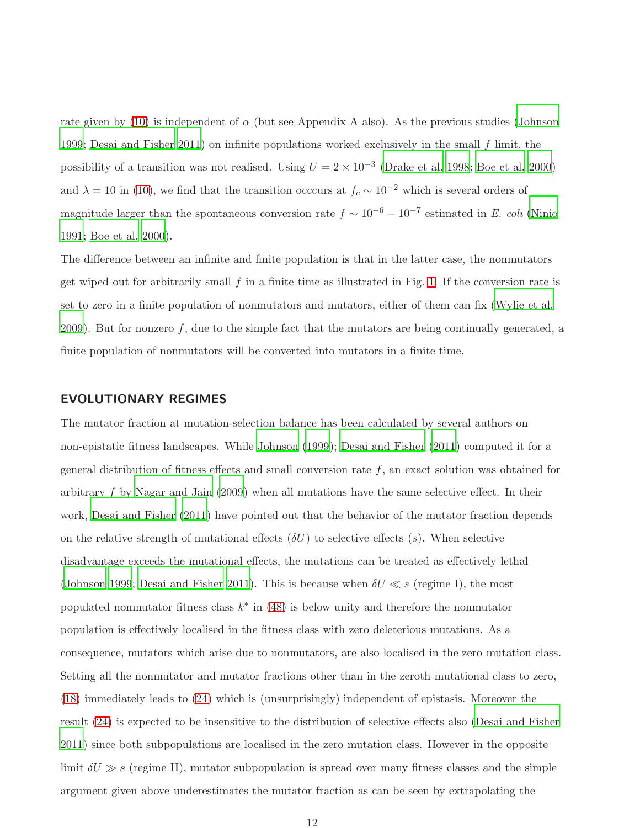rate given by [\(10\)](#page-6-0) is independent of  $\alpha$  (but see Appendix A also). As the previous studies [\(Johnson](#page-20-10) [1999](#page-20-10); [Desai and Fisher 2011](#page-19-10)) on infinite populations worked exclusively in the small f limit, the possibility of a transition was not realised. Using  $U = 2 \times 10^{-3}$  [\(Drake et al. 1998](#page-19-3); [Boe et al. 2000\)](#page-19-2) and  $\lambda = 10$  in [\(10\)](#page-6-0), we find that the transition occcurs at  $f_c \sim 10^{-2}$  which is several orders of magnitude larger than the spontaneous conversion rate  $f \sim 10^{-6} - 10^{-7}$  estimated in *E. coli* [\(Ninio](#page-21-8) [1991](#page-21-8); [Boe et al. 2000\)](#page-19-2).

The difference between an infinite and finite population is that in the latter case, the nonmutators get wiped out for arbitrarily small  $f$  in a finite time as illustrated in Fig. [1.](#page-24-0) If the conversion rate is set to zero in a finite population of nonmutators and mutators, either of them can fix [\(Wylie et al.](#page-23-2) [2009](#page-23-2)). But for nonzero  $f$ , due to the simple fact that the mutators are being continually generated, a finite population of nonmutators will be converted into mutators in a finite time.

#### EVOLUTIONARY REGIMES

The mutator fraction at mutation-selection balance has been calculated by several authors on non-epistatic fitness landscapes. While [Johnson \(1999](#page-20-10)); [Desai and Fisher \(2011](#page-19-10)) computed it for a general distribution of fitness effects and small conversion rate  $f$ , an exact solution was obtained for arbitrary f by [Nagar and Jain \(2009](#page-21-5)) when all mutations have the same selective effect. In their work, [Desai and Fisher \(2011](#page-19-10)) have pointed out that the behavior of the mutator fraction depends on the relative strength of mutational effects  $(\delta U)$  to selective effects  $(s)$ . When selective disadvantage exceeds the mutational effects, the mutations can be treated as effectively lethal [\(Johnson 1999](#page-20-10); [Desai and Fisher 2011](#page-19-10)). This is because when  $\delta U \ll s$  (regime I), the most populated nonmutator fitness class  $k^*$  in [\(48\)](#page-16-0) is below unity and therefore the nonmutator population is effectively localised in the fitness class with zero deleterious mutations. As a consequence, mutators which arise due to nonmutators, are also localised in the zero mutation class. Setting all the nonmutator and mutator fractions other than in the zeroth mutational class to zero, [\(18\)](#page-7-3) immediately leads to [\(24\)](#page-8-0) which is (unsurprisingly) independent of epistasis. Moreover the result [\(24\)](#page-8-0) is expected to be insensitive to the distribution of selective effects also [\(Desai and Fisher](#page-19-10) [2011](#page-19-10)) since both subpopulations are localised in the zero mutation class. However in the opposite limit  $\delta U \gg s$  (regime II), mutator subpopulation is spread over many fitness classes and the simple argument given above underestimates the mutator fraction as can be seen by extrapolating the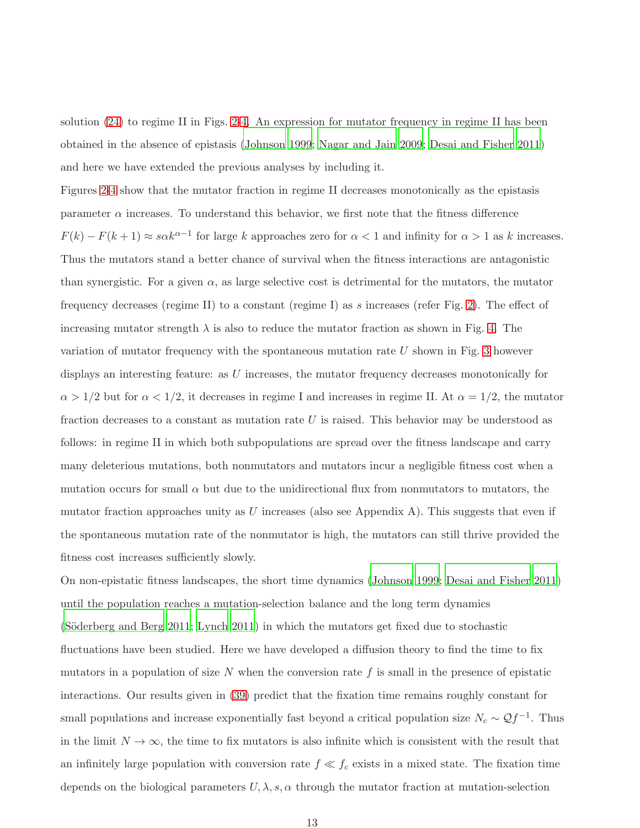solution [\(24\)](#page-8-0) to regime II in Figs. [2](#page-25-0)[-4.](#page-27-0) An expression for mutator frequency in regime II has been obtained in the absence of epistasis [\(Johnson 1999](#page-20-10); [Nagar and Jain 2009](#page-21-5); [Desai and Fisher 2011](#page-19-10)) and here we have extended the previous analyses by including it.

Figures [2-](#page-25-0)[4](#page-27-0) show that the mutator fraction in regime II decreases monotonically as the epistasis parameter  $\alpha$  increases. To understand this behavior, we first note that the fitness difference  $F(k) - F(k+1) \approx s\alpha k^{\alpha-1}$  for large k approaches zero for  $\alpha < 1$  and infinity for  $\alpha > 1$  as k increases. Thus the mutators stand a better chance of survival when the fitness interactions are antagonistic than synergistic. For a given  $\alpha$ , as large selective cost is detrimental for the mutators, the mutator frequency decreases (regime II) to a constant (regime I) as s increases (refer Fig. [2\)](#page-25-0). The effect of increasing mutator strength  $\lambda$  is also to reduce the mutator fraction as shown in Fig. [4.](#page-27-0) The variation of mutator frequency with the spontaneous mutation rate  $U$  shown in Fig. [3](#page-26-0) however displays an interesting feature: as  $U$  increases, the mutator frequency decreases monotonically for  $\alpha > 1/2$  but for  $\alpha < 1/2$ , it decreases in regime I and increases in regime II. At  $\alpha = 1/2$ , the mutator fraction decreases to a constant as mutation rate  $U$  is raised. This behavior may be understood as follows: in regime II in which both subpopulations are spread over the fitness landscape and carry many deleterious mutations, both nonmutators and mutators incur a negligible fitness cost when a mutation occurs for small  $\alpha$  but due to the unidirectional flux from nonmutators to mutators, the mutator fraction approaches unity as  $U$  increases (also see Appendix A). This suggests that even if the spontaneous mutation rate of the nonmutator is high, the mutators can still thrive provided the fitness cost increases sufficiently slowly.

On non-epistatic fitness landscapes, the short time dynamics [\(Johnson 1999](#page-20-10); [Desai and Fisher 2011\)](#page-19-10) until the population reaches a mutation-selection balance and the long term dynamics (Söderberg and Berg 2011; [Lynch 2011](#page-20-2)) in which the mutators get fixed due to stochastic fluctuations have been studied. Here we have developed a diffusion theory to find the time to fix mutators in a population of size N when the conversion rate  $f$  is small in the presence of epistatic interactions. Our results given in [\(39\)](#page-10-0) predict that the fixation time remains roughly constant for small populations and increase exponentially fast beyond a critical population size  $N_c \sim \mathcal{Q}f^{-1}$ . Thus in the limit  $N \to \infty$ , the time to fix mutators is also infinite which is consistent with the result that an infinitely large population with conversion rate  $f \ll f_c$  exists in a mixed state. The fixation time depends on the biological parameters  $U, \lambda, s, \alpha$  through the mutator fraction at mutation-selection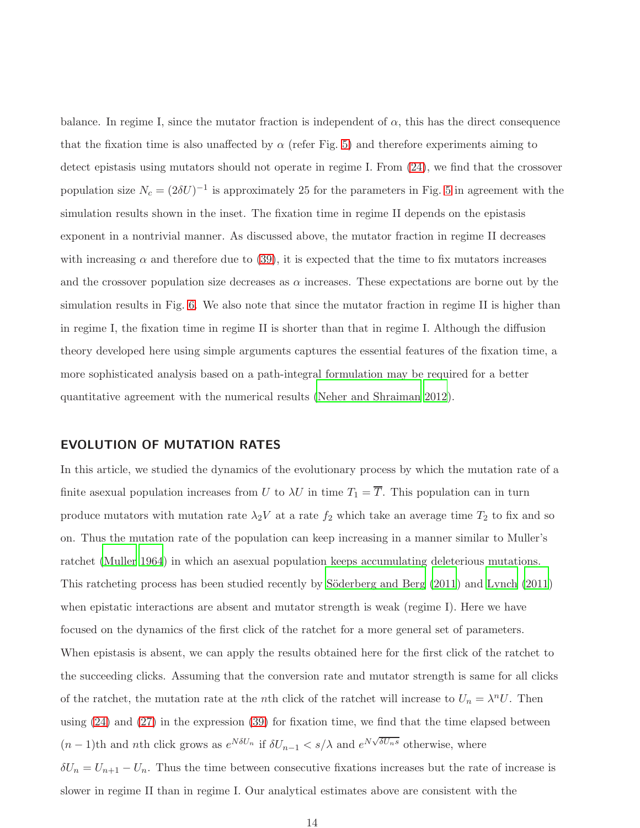balance. In regime I, since the mutator fraction is independent of  $\alpha$ , this has the direct consequence that the fixation time is also unaffected by  $\alpha$  (refer Fig. [5\)](#page-28-0) and therefore experiments aiming to detect epistasis using mutators should not operate in regime I. From [\(24\)](#page-8-0), we find that the crossover population size  $N_c = (2\delta U)^{-1}$  is approximately 25 for the parameters in Fig. [5](#page-28-0) in agreement with the simulation results shown in the inset. The fixation time in regime II depends on the epistasis exponent in a nontrivial manner. As discussed above, the mutator fraction in regime II decreases with increasing  $\alpha$  and therefore due to [\(39\)](#page-10-0), it is expected that the time to fix mutators increases and the crossover population size decreases as  $\alpha$  increases. These expectations are borne out by the simulation results in Fig. [6.](#page-29-0) We also note that since the mutator fraction in regime II is higher than in regime I, the fixation time in regime II is shorter than that in regime I. Although the diffusion theory developed here using simple arguments captures the essential features of the fixation time, a more sophisticated analysis based on a path-integral formulation may be required for a better quantitative agreement with the numerical results [\(Neher and Shraiman 2012](#page-21-9)).

#### EVOLUTION OF MUTATION RATES

In this article, we studied the dynamics of the evolutionary process by which the mutation rate of a finite asexual population increases from U to  $\lambda U$  in time  $T_1 = \overline{T}$ . This population can in turn produce mutators with mutation rate  $\lambda_2 V$  at a rate  $f_2$  which take an average time  $T_2$  to fix and so on. Thus the mutation rate of the population can keep increasing in a manner similar to Muller's ratchet [\(Muller 1964](#page-21-10)) in which an asexual population keeps accumulating deleterious mutations. This ratcheting process has been studied recently by Söderberg and Berg (2011) and [Lynch \(2011](#page-20-2)) when epistatic interactions are absent and mutator strength is weak (regime I). Here we have focused on the dynamics of the first click of the ratchet for a more general set of parameters. When epistasis is absent, we can apply the results obtained here for the first click of the ratchet to the succeeding clicks. Assuming that the conversion rate and mutator strength is same for all clicks of the ratchet, the mutation rate at the *n*th click of the ratchet will increase to  $U_n = \lambda^n U$ . Then using [\(24\)](#page-8-0) and [\(27\)](#page-8-1) in the expression [\(39\)](#page-10-0) for fixation time, we find that the time elapsed between  $(n-1)$ th and *n*th click grows as  $e^{N\delta U_n}$  if  $\delta U_{n-1} < s/\lambda$  and  $e^{N\sqrt{\delta U_n s}}$  otherwise, where  $\delta U_n = U_{n+1} - U_n$ . Thus the time between consecutive fixations increases but the rate of increase is slower in regime II than in regime I. Our analytical estimates above are consistent with the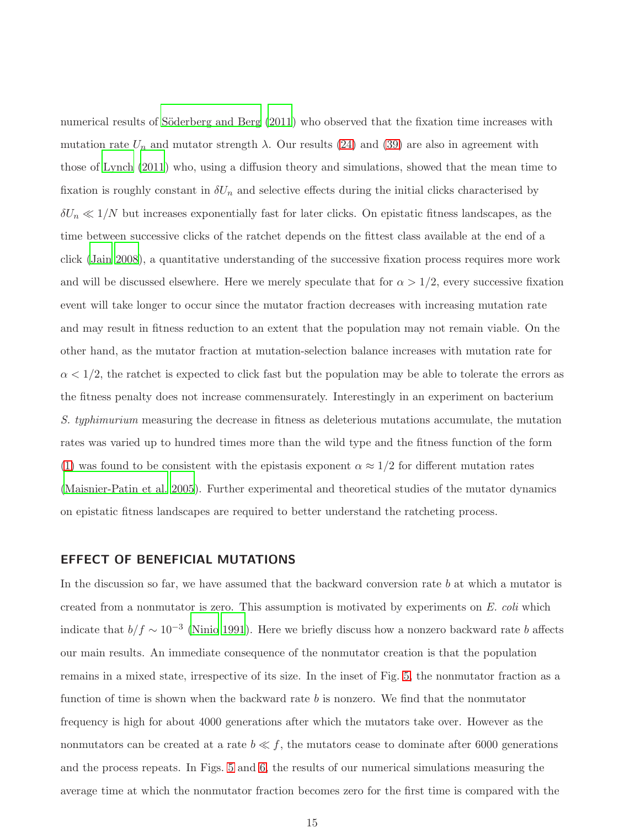numerical results of Söderberg and Berg (2011) who observed that the fixation time increases with mutation rate  $U_n$  and mutator strength  $\lambda$ . Our results [\(24\)](#page-8-0) and [\(39\)](#page-10-0) are also in agreement with those of [Lynch \(2011](#page-20-2)) who, using a diffusion theory and simulations, showed that the mean time to fixation is roughly constant in  $\delta U_n$  and selective effects during the initial clicks characterised by  $\delta U_n \ll 1/N$  but increases exponentially fast for later clicks. On epistatic fitness landscapes, as the time between successive clicks of the ratchet depends on the fittest class available at the end of a click [\(Jain 2008](#page-20-4)), a quantitative understanding of the successive fixation process requires more work and will be discussed elsewhere. Here we merely speculate that for  $\alpha > 1/2$ , every successive fixation event will take longer to occur since the mutator fraction decreases with increasing mutation rate and may result in fitness reduction to an extent that the population may not remain viable. On the other hand, as the mutator fraction at mutation-selection balance increases with mutation rate for  $\alpha < 1/2$ , the ratchet is expected to click fast but the population may be able to tolerate the errors as the fitness penalty does not increase commensurately. Interestingly in an experiment on bacterium *S. typhimurium* measuring the decrease in fitness as deleterious mutations accumulate, the mutation rates was varied up to hundred times more than the wild type and the fitness function of the form [\(1\)](#page-3-0) was found to be consistent with the epistasis exponent  $\alpha \approx 1/2$  for different mutation rates [\(Maisnier-Patin et al. 2005](#page-21-7)). Further experimental and theoretical studies of the mutator dynamics on epistatic fitness landscapes are required to better understand the ratcheting process.

#### EFFECT OF BENEFICIAL MUTATIONS

In the discussion so far, we have assumed that the backward conversion rate  $b$  at which a mutator is created from a nonmutator is zero. This assumption is motivated by experiments on *E. coli* which indicate that  $b/f \sim 10^{-3}$  [\(Ninio 1991](#page-21-8)). Here we briefly discuss how a nonzero backward rate b affects our main results. An immediate consequence of the nonmutator creation is that the population remains in a mixed state, irrespective of its size. In the inset of Fig. [5,](#page-28-0) the nonmutator fraction as a function of time is shown when the backward rate b is nonzero. We find that the nonmutator frequency is high for about 4000 generations after which the mutators take over. However as the nonmutators can be created at a rate  $b \ll f$ , the mutators cease to dominate after 6000 generations and the process repeats. In Figs. [5](#page-28-0) and [6,](#page-29-0) the results of our numerical simulations measuring the average time at which the nonmutator fraction becomes zero for the first time is compared with the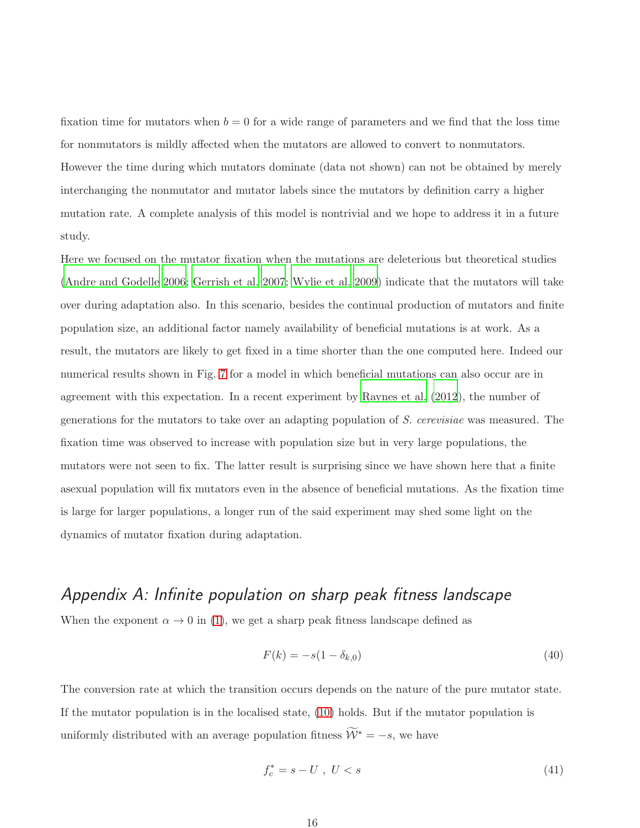fixation time for mutators when  $b = 0$  for a wide range of parameters and we find that the loss time for nonmutators is mildly affected when the mutators are allowed to convert to nonmutators. However the time during which mutators dominate (data not shown) can not be obtained by merely interchanging the nonmutator and mutator labels since the mutators by definition carry a higher mutation rate. A complete analysis of this model is nontrivial and we hope to address it in a future study.

Here we focused on the mutator fixation when the mutations are deleterious but theoretical studies [\(Andre and Godelle 2006;](#page-19-4) [Gerrish et al. 2007](#page-20-11); [Wylie et al. 2009](#page-23-2)) indicate that the mutators will take over during adaptation also. In this scenario, besides the continual production of mutators and finite population size, an additional factor namely availability of beneficial mutations is at work. As a result, the mutators are likely to get fixed in a time shorter than the one computed here. Indeed our numerical results shown in Fig. [7](#page-30-0) for a model in which beneficial mutations can also occur are in agreement with this expectation. In a recent experiment by [Raynes et al. \(2012](#page-21-11)), the number of generations for the mutators to take over an adapting population of *S. cerevisiae* was measured. The fixation time was observed to increase with population size but in very large populations, the mutators were not seen to fix. The latter result is surprising since we have shown here that a finite asexual population will fix mutators even in the absence of beneficial mutations. As the fixation time is large for larger populations, a longer run of the said experiment may shed some light on the dynamics of mutator fixation during adaptation.

## Appendix A: Infinite population on sharp peak fitness landscape

When the exponent  $\alpha \to 0$  in [\(1\)](#page-3-0), we get a sharp peak fitness landscape defined as

<span id="page-15-0"></span>
$$
F(k) = -s(1 - \delta_{k,0})
$$
\n(40)

The conversion rate at which the transition occurs depends on the nature of the pure mutator state. If the mutator population is in the localised state, [\(10\)](#page-6-0) holds. But if the mutator population is uniformly distributed with an average population fitness  $\widetilde{\mathcal{W}}^* = -s$ , we have

$$
f_c^* = s - U \ , \ U < s \tag{41}
$$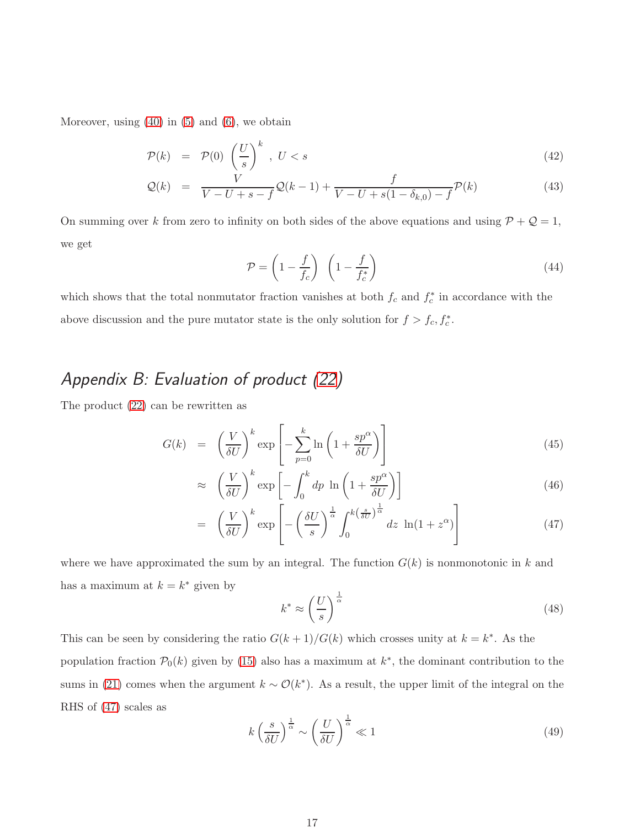Moreover, using  $(40)$  in  $(5)$  and  $(6)$ , we obtain

$$
\mathcal{P}(k) = \mathcal{P}(0) \left(\frac{U}{s}\right)^k, \ U < s \tag{42}
$$

$$
Q(k) = \frac{V}{V - U + s - f} Q(k - 1) + \frac{f}{V - U + s(1 - \delta_{k,0}) - f} \mathcal{P}(k)
$$
\n(43)

On summing over k from zero to infinity on both sides of the above equations and using  $P + Q = 1$ , we get

$$
\mathcal{P} = \left(1 - \frac{f}{f_c}\right) \left(1 - \frac{f}{f_c^*}\right) \tag{44}
$$

which shows that the total nonmutator fraction vanishes at both  $f_c$  and  $f_c^*$  in accordance with the above discussion and the pure mutator state is the only solution for  $f > f_c, f_c^*$ .

## Appendix B: Evaluation of product [\(22\)](#page-8-3)

The product [\(22\)](#page-8-3) can be rewritten as

<span id="page-16-1"></span>
$$
G(k) = \left(\frac{V}{\delta U}\right)^k \exp\left[-\sum_{p=0}^k \ln\left(1 + \frac{sp^{\alpha}}{\delta U}\right)\right]
$$
\n(45)

$$
\approx \left(\frac{V}{\delta U}\right)^k \exp\left[-\int_0^k dp \ln\left(1 + \frac{sp^{\alpha}}{\delta U}\right)\right]
$$
\n(46)

$$
= \left(\frac{V}{\delta U}\right)^k \exp\left[-\left(\frac{\delta U}{s}\right)^{\frac{1}{\alpha}} \int_0^{k\left(\frac{s}{\delta U}\right)^{\frac{1}{\alpha}}} dz \ln(1+z^{\alpha})\right]
$$
(47)

where we have approximated the sum by an integral. The function  $G(k)$  is nonmonotonic in k and has a maximum at  $k = k^*$  given by

<span id="page-16-0"></span>
$$
k^* \approx \left(\frac{U}{s}\right)^{\frac{1}{\alpha}}\tag{48}
$$

This can be seen by considering the ratio  $G(k+1)/G(k)$  which crosses unity at  $k = k^*$ . As the population fraction  $\mathcal{P}_0(k)$  given by [\(15\)](#page-7-4) also has a maximum at  $k^*$ , the dominant contribution to the sums in [\(21\)](#page-7-2) comes when the argument  $k \sim \mathcal{O}(k^*)$ . As a result, the upper limit of the integral on the RHS of [\(47\)](#page-16-1) scales as

$$
k\left(\frac{s}{\delta U}\right)^{\frac{1}{\alpha}} \sim \left(\frac{U}{\delta U}\right)^{\frac{1}{\alpha}} \ll 1\tag{49}
$$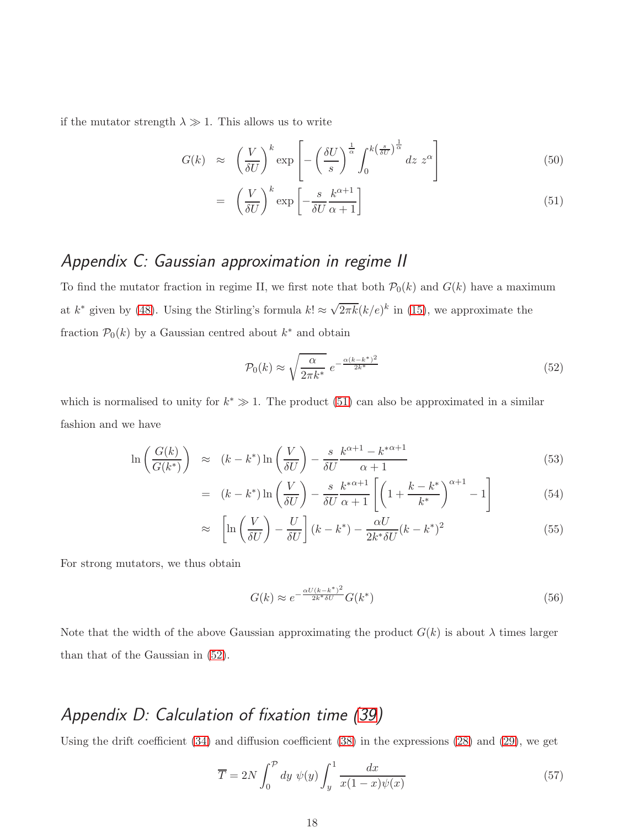if the mutator strength  $\lambda \gg 1$ . This allows us to write

<span id="page-17-0"></span>
$$
G(k) \approx \left(\frac{V}{\delta U}\right)^k \exp\left[-\left(\frac{\delta U}{s}\right)^{\frac{1}{\alpha}} \int_0^{k\left(\frac{s}{\delta U}\right)^{\frac{1}{\alpha}}} dz \ z^{\alpha}\right] \tag{50}
$$

$$
= \left(\frac{V}{\delta U}\right)^k \exp\left[-\frac{s}{\delta U} \frac{k^{\alpha+1}}{\alpha+1}\right] \tag{51}
$$

## Appendix C: Gaussian approximation in regime II

To find the mutator fraction in regime II, we first note that both  $\mathcal{P}_0(k)$  and  $G(k)$  have a maximum at  $k^*$  given by [\(48\)](#page-16-0). Using the Stirling's formula  $k! \approx \sqrt{2\pi k} (k/e)^k$  in [\(15\)](#page-7-4), we approximate the fraction  $\mathcal{P}_0(k)$  by a Gaussian centred about  $k^*$  and obtain

<span id="page-17-1"></span>
$$
\mathcal{P}_0(k) \approx \sqrt{\frac{\alpha}{2\pi k^*}} \ e^{-\frac{\alpha(k-k^*)^2}{2k^*}}
$$
\n(52)

which is normalised to unity for  $k^* \gg 1$ . The product [\(51\)](#page-17-0) can also be approximated in a similar fashion and we have

$$
\ln\left(\frac{G(k)}{G(k^*)}\right) \approx (k - k^*) \ln\left(\frac{V}{\delta U}\right) - \frac{s}{\delta U} \frac{k^{\alpha+1} - k^{*\alpha+1}}{\alpha+1}
$$
\n(53)

$$
= (k - k^*) \ln\left(\frac{V}{\delta U}\right) - \frac{s}{\delta U} \frac{k^{*\alpha+1}}{\alpha+1} \left[ \left(1 + \frac{k - k^*}{k^*}\right)^{\alpha+1} - 1 \right] \tag{54}
$$

$$
\approx \left[\ln\left(\frac{V}{\delta U}\right) - \frac{U}{\delta U}\right](k - k^*) - \frac{\alpha U}{2k^* \delta U}(k - k^*)^2 \tag{55}
$$

For strong mutators, we thus obtain

<span id="page-17-2"></span>
$$
G(k) \approx e^{-\frac{\alpha U(k - k^*)^2}{2k^* \delta U}} G(k^*)
$$
\n
$$
(56)
$$

Note that the width of the above Gaussian approximating the product  $G(k)$  is about  $\lambda$  times larger than that of the Gaussian in [\(52\)](#page-17-1).

## Appendix D: Calculation of fixation time [\(39\)](#page-10-0)

Using the drift coefficient [\(34\)](#page-9-3) and diffusion coefficient [\(38\)](#page-10-1) in the expressions [\(28\)](#page-9-4) and [\(29\)](#page-9-5), we get

<span id="page-17-3"></span>
$$
\overline{T} = 2N \int_0^{\mathcal{P}} dy \ \psi(y) \int_y^1 \frac{dx}{x(1-x)\psi(x)} \tag{57}
$$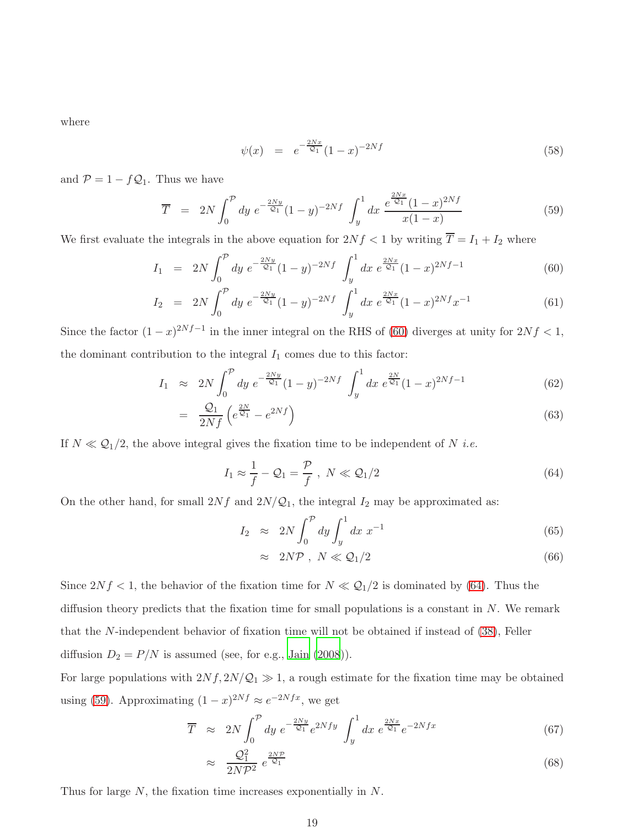where

$$
\psi(x) = e^{-\frac{2Nx}{\mathcal{Q}_1}}(1-x)^{-2Nf} \tag{58}
$$

and  $\mathcal{P} = 1 - f \mathcal{Q}_1$ . Thus we have

<span id="page-18-2"></span>
$$
\overline{T} = 2N \int_0^p dy \ e^{-\frac{2Ny}{\mathcal{Q}_1}} (1-y)^{-2Nf} \ \int_y^1 dx \ \frac{e^{\frac{2Nx}{\mathcal{Q}_1}} (1-x)^{2Nf}}{x(1-x)}
$$
(59)

We first evaluate the integrals in the above equation for  $2Nf < 1$  by writing  $\overline{T} = I_1 + I_2$  where

<span id="page-18-0"></span>
$$
I_1 = 2N \int_0^{\mathcal{P}} dy \ e^{-\frac{2Ny}{\mathcal{Q}_1}} (1-y)^{-2Nf} \int_y^1 dx \ e^{\frac{2Nx}{\mathcal{Q}_1}} (1-x)^{2Nf-1}
$$
(60)

$$
I_2 = 2N \int_0^{\mathcal{P}} dy \ e^{-\frac{2Ny}{\mathcal{Q}_1}} (1-y)^{-2Nf} \int_y^1 dx \ e^{\frac{2Nx}{\mathcal{Q}_1}} (1-x)^{2Nf} x^{-1}
$$
(61)

Since the factor  $(1-x)^{2Nf-1}$  in the inner integral on the RHS of [\(60\)](#page-18-0) diverges at unity for  $2Nf < 1$ , the dominant contribution to the integral  $I_1$  comes due to this factor:

$$
I_1 \approx 2N \int_0^{\mathcal{P}} dy \ e^{-\frac{2Ny}{\mathcal{Q}_1}} (1-y)^{-2Nf} \int_y^1 dx \ e^{\frac{2N}{\mathcal{Q}_1}} (1-x)^{2Nf-1} \tag{62}
$$

$$
= \frac{Q_1}{2Nf} \left( e^{\frac{2N}{Q_1}} - e^{2Nf} \right) \tag{63}
$$

If  $N \ll Q_1/2$ , the above integral gives the fixation time to be independent of N *i.e.* 

<span id="page-18-1"></span>
$$
I_1 \approx \frac{1}{f} - \mathcal{Q}_1 = \frac{\mathcal{P}}{f} , \ N \ll \mathcal{Q}_1/2 \tag{64}
$$

On the other hand, for small  $2Nf$  and  $2N/Q_1$ , the integral  $I_2$  may be approximated as:

$$
I_2 \approx 2N \int_0^{\mathcal{P}} dy \int_y^1 dx \ x^{-1} \tag{65}
$$

$$
\approx 2N\mathcal{P}, N \ll \mathcal{Q}_1/2 \tag{66}
$$

Since  $2Nf < 1$ , the behavior of the fixation time for  $N \ll Q_1/2$  is dominated by [\(64\)](#page-18-1). Thus the diffusion theory predicts that the fixation time for small populations is a constant in  $N$ . We remark that the N-independent behavior of fixation time will not be obtained if instead of [\(38\)](#page-10-1), Feller diffusion  $D_2 = P/N$  is assumed (see, for e.g., [Jain \(2008](#page-20-4))).

For large populations with  $2Nf$ ,  $2N/Q_1 \gg 1$ , a rough estimate for the fixation time may be obtained using [\(59\)](#page-18-2). Approximating  $(1-x)^{2Nf} \approx e^{-2Nfx}$ , we get

$$
\overline{T} \approx 2N \int_0^{\mathcal{P}} dy \ e^{-\frac{2Ny}{\mathcal{Q}_1}} e^{2Nfy} \int_y^1 dx \ e^{\frac{2Nx}{\mathcal{Q}_1}} e^{-2Nfx} \tag{67}
$$

$$
\approx \frac{Q_1^2}{2N\mathcal{P}^2} e^{\frac{2N\mathcal{P}}{Q_1}} \tag{68}
$$

Thus for large N, the fixation time increases exponentially in N.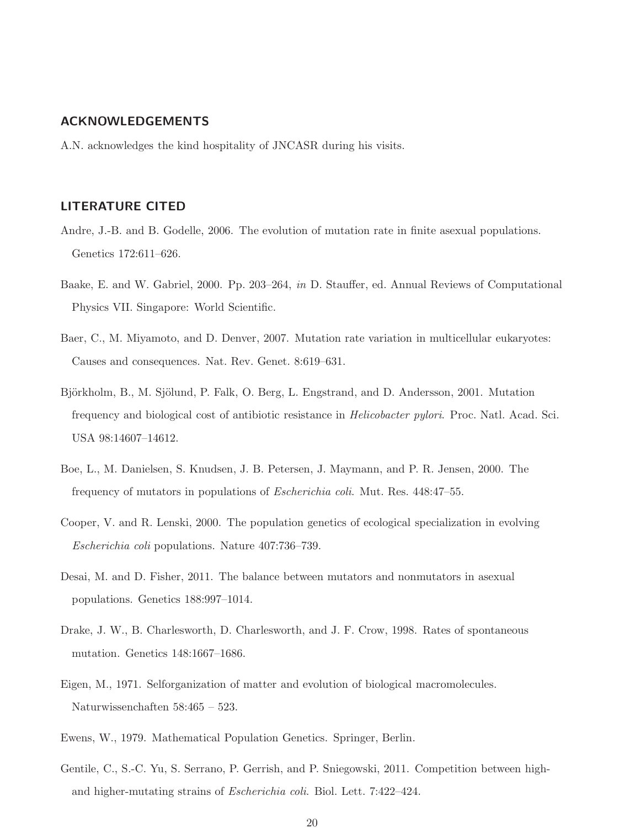#### ACKNOWLEDGEMENTS

A.N. acknowledges the kind hospitality of JNCASR during his visits.

#### LITERATURE CITED

- <span id="page-19-4"></span>Andre, J.-B. and B. Godelle, 2006. The evolution of mutation rate in finite asexual populations. Genetics 172:611–626.
- <span id="page-19-7"></span>Baake, E. and W. Gabriel, 2000. Pp. 203–264, *in* D. Stauffer, ed. Annual Reviews of Computational Physics VII. Singapore: World Scientific.
- <span id="page-19-0"></span>Baer, C., M. Miyamoto, and D. Denver, 2007. Mutation rate variation in multicellular eukaryotes: Causes and consequences. Nat. Rev. Genet. 8:619–631.
- <span id="page-19-1"></span>Björkholm, B., M. Sjölund, P. Falk, O. Berg, L. Engstrand, and D. Andersson, 2001. Mutation frequency and biological cost of antibiotic resistance in *Helicobacter pylori*. Proc. Natl. Acad. Sci. USA 98:14607–14612.
- <span id="page-19-2"></span>Boe, L., M. Danielsen, S. Knudsen, J. B. Petersen, J. Maymann, and P. R. Jensen, 2000. The frequency of mutators in populations of *Escherichia coli*. Mut. Res. 448:47–55.
- <span id="page-19-5"></span>Cooper, V. and R. Lenski, 2000. The population genetics of ecological specialization in evolving *Escherichia coli* populations. Nature 407:736–739.
- <span id="page-19-10"></span>Desai, M. and D. Fisher, 2011. The balance between mutators and nonmutators in asexual populations. Genetics 188:997–1014.
- <span id="page-19-3"></span>Drake, J. W., B. Charlesworth, D. Charlesworth, and J. F. Crow, 1998. Rates of spontaneous mutation. Genetics 148:1667–1686.
- <span id="page-19-8"></span>Eigen, M., 1971. Selforganization of matter and evolution of biological macromolecules. Naturwissenchaften 58:465 – 523.
- <span id="page-19-9"></span>Ewens, W., 1979. Mathematical Population Genetics. Springer, Berlin.
- <span id="page-19-6"></span>Gentile, C., S.-C. Yu, S. Serrano, P. Gerrish, and P. Sniegowski, 2011. Competition between highand higher-mutating strains of *Escherichia coli*. Biol. Lett. 7:422–424.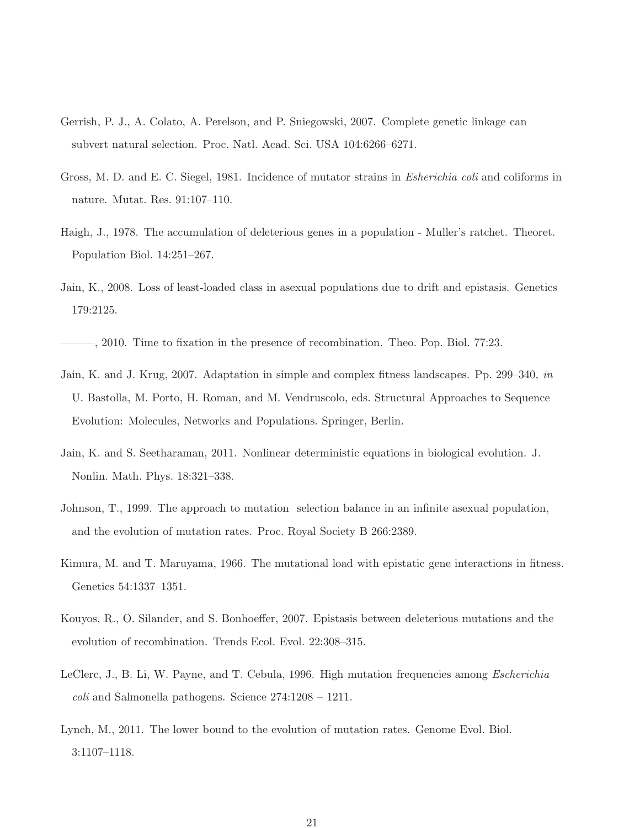- <span id="page-20-11"></span>Gerrish, P. J., A. Colato, A. Perelson, and P. Sniegowski, 2007. Complete genetic linkage can subvert natural selection. Proc. Natl. Acad. Sci. USA 104:6266–6271.
- <span id="page-20-1"></span>Gross, M. D. and E. C. Siegel, 1981. Incidence of mutator strains in *Esherichia coli* and coliforms in nature. Mutat. Res. 91:107–110.
- <span id="page-20-7"></span>Haigh, J., 1978. The accumulation of deleterious genes in a population - Muller's ratchet. Theoret. Population Biol. 14:251–267.
- <span id="page-20-4"></span>Jain, K., 2008. Loss of least-loaded class in asexual populations due to drift and epistasis. Genetics 179:2125.
- <span id="page-20-5"></span>———, 2010. Time to fixation in the presence of recombination. Theo. Pop. Biol. 77:23.
- <span id="page-20-8"></span>Jain, K. and J. Krug, 2007. Adaptation in simple and complex fitness landscapes. Pp. 299–340, *in* U. Bastolla, M. Porto, H. Roman, and M. Vendruscolo, eds. Structural Approaches to Sequence Evolution: Molecules, Networks and Populations. Springer, Berlin.
- <span id="page-20-9"></span>Jain, K. and S. Seetharaman, 2011. Nonlinear deterministic equations in biological evolution. J. Nonlin. Math. Phys. 18:321–338.
- <span id="page-20-10"></span>Johnson, T., 1999. The approach to mutation selection balance in an infinite asexual population, and the evolution of mutation rates. Proc. Royal Society B 266:2389.
- <span id="page-20-6"></span>Kimura, M. and T. Maruyama, 1966. The mutational load with epistatic gene interactions in fitness. Genetics 54:1337–1351.
- <span id="page-20-3"></span>Kouyos, R., O. Silander, and S. Bonhoeffer, 2007. Epistasis between deleterious mutations and the evolution of recombination. Trends Ecol. Evol. 22:308–315.
- <span id="page-20-0"></span>LeClerc, J., B. Li, W. Payne, and T. Cebula, 1996. High mutation frequencies among *Escherichia coli* and Salmonella pathogens. Science 274:1208 – 1211.
- <span id="page-20-2"></span>Lynch, M., 2011. The lower bound to the evolution of mutation rates. Genome Evol. Biol. 3:1107–1118.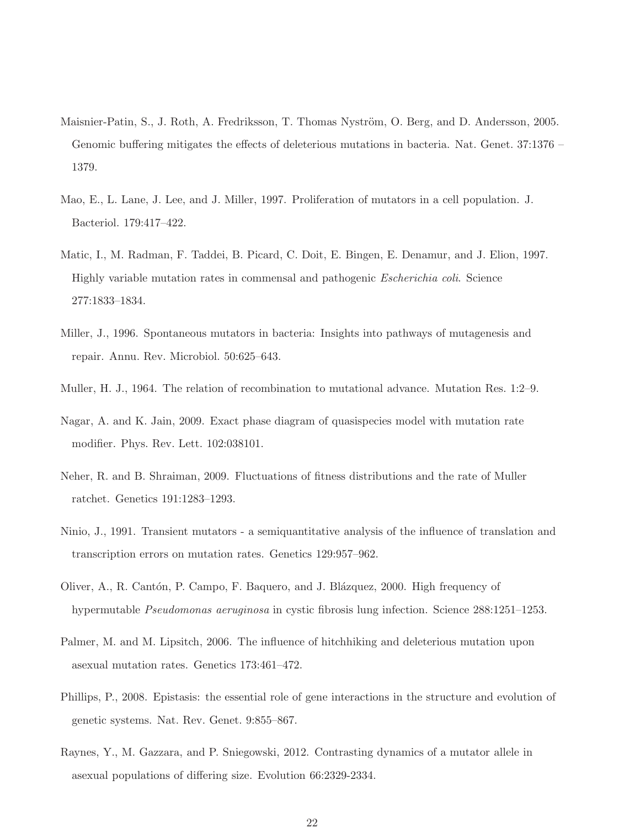- <span id="page-21-7"></span>Maisnier-Patin, S., J. Roth, A. Fredriksson, T. Thomas Nyström, O. Berg, and D. Andersson, 2005. Genomic buffering mitigates the effects of deleterious mutations in bacteria. Nat. Genet. 37:1376 – 1379.
- <span id="page-21-3"></span>Mao, E., L. Lane, J. Lee, and J. Miller, 1997. Proliferation of mutators in a cell population. J. Bacteriol. 179:417–422.
- <span id="page-21-1"></span>Matic, I., M. Radman, F. Taddei, B. Picard, C. Doit, E. Bingen, E. Denamur, and J. Elion, 1997. Highly variable mutation rates in commensal and pathogenic *Escherichia coli*. Science 277:1833–1834.
- <span id="page-21-0"></span>Miller, J., 1996. Spontaneous mutators in bacteria: Insights into pathways of mutagenesis and repair. Annu. Rev. Microbiol. 50:625–643.
- <span id="page-21-10"></span>Muller, H. J., 1964. The relation of recombination to mutational advance. Mutation Res. 1:2–9.
- <span id="page-21-5"></span>Nagar, A. and K. Jain, 2009. Exact phase diagram of quasispecies model with mutation rate modifier. Phys. Rev. Lett. 102:038101.
- <span id="page-21-9"></span>Neher, R. and B. Shraiman, 2009. Fluctuations of fitness distributions and the rate of Muller ratchet. Genetics 191:1283–1293.
- <span id="page-21-8"></span>Ninio, J., 1991. Transient mutators - a semiquantitative analysis of the influence of translation and transcription errors on mutation rates. Genetics 129:957–962.
- <span id="page-21-2"></span>Oliver, A., R. Cantón, P. Campo, F. Baquero, and J. Blázquez, 2000. High frequency of hypermutable *Pseudomonas aeruginosa* in cystic fibrosis lung infection. Science 288:1251–1253.
- <span id="page-21-4"></span>Palmer, M. and M. Lipsitch, 2006. The influence of hitchhiking and deleterious mutation upon asexual mutation rates. Genetics 173:461–472.
- <span id="page-21-6"></span>Phillips, P., 2008. Epistasis: the essential role of gene interactions in the structure and evolution of genetic systems. Nat. Rev. Genet. 9:855–867.
- <span id="page-21-11"></span>Raynes, Y., M. Gazzara, and P. Sniegowski, 2012. Contrasting dynamics of a mutator allele in asexual populations of differing size. Evolution 66:2329-2334.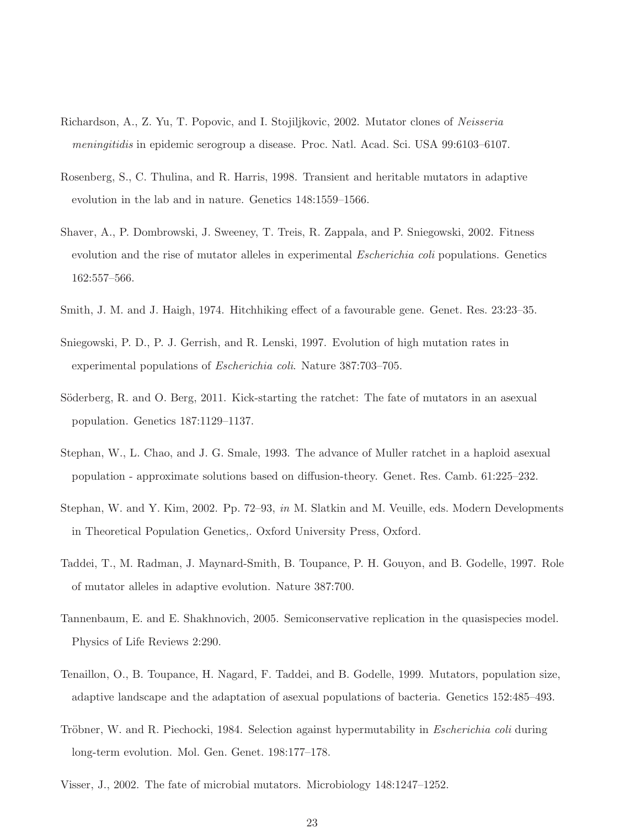- <span id="page-22-2"></span>Richardson, A., Z. Yu, T. Popovic, and I. Stojiljkovic, 2002. Mutator clones of *Neisseria meningitidis* in epidemic serogroup a disease. Proc. Natl. Acad. Sci. USA 99:6103–6107.
- <span id="page-22-1"></span>Rosenberg, S., C. Thulina, and R. Harris, 1998. Transient and heritable mutators in adaptive evolution in the lab and in nature. Genetics 148:1559–1566.
- <span id="page-22-6"></span>Shaver, A., P. Dombrowski, J. Sweeney, T. Treis, R. Zappala, and P. Sniegowski, 2002. Fitness evolution and the rise of mutator alleles in experimental *Escherichia coli* populations. Genetics 162:557–566.
- <span id="page-22-5"></span>Smith, J. M. and J. Haigh, 1974. Hitchhiking effect of a favourable gene. Genet. Res. 23:23–35.
- <span id="page-22-3"></span>Sniegowski, P. D., P. J. Gerrish, and R. Lenski, 1997. Evolution of high mutation rates in experimental populations of *Escherichia coli*. Nature 387:703–705.
- <span id="page-22-10"></span>Söderberg, R. and O. Berg, 2011. Kick-starting the ratchet: The fate of mutators in an asexual population. Genetics 187:1129–1137.
- <span id="page-22-11"></span>Stephan, W., L. Chao, and J. G. Smale, 1993. The advance of Muller ratchet in a haploid asexual population - approximate solutions based on diffusion-theory. Genet. Res. Camb. 61:225–232.
- <span id="page-22-12"></span>Stephan, W. and Y. Kim, 2002. Pp. 72–93, *in* M. Slatkin and M. Veuille, eds. Modern Developments in Theoretical Population Genetics,. Oxford University Press, Oxford.
- <span id="page-22-7"></span>Taddei, T., M. Radman, J. Maynard-Smith, B. Toupance, P. H. Gouyon, and B. Godelle, 1997. Role of mutator alleles in adaptive evolution. Nature 387:700.
- <span id="page-22-9"></span>Tannenbaum, E. and E. Shakhnovich, 2005. Semiconservative replication in the quasispecies model. Physics of Life Reviews 2:290.
- <span id="page-22-8"></span>Tenaillon, O., B. Toupance, H. Nagard, F. Taddei, and B. Godelle, 1999. Mutators, population size, adaptive landscape and the adaptation of asexual populations of bacteria. Genetics 152:485–493.
- <span id="page-22-4"></span>Tröbner, W. and R. Piechocki, 1984. Selection against hypermutability in *Escherichia coli* during long-term evolution. Mol. Gen. Genet. 198:177–178.
- <span id="page-22-0"></span>Visser, J., 2002. The fate of microbial mutators. Microbiology 148:1247–1252.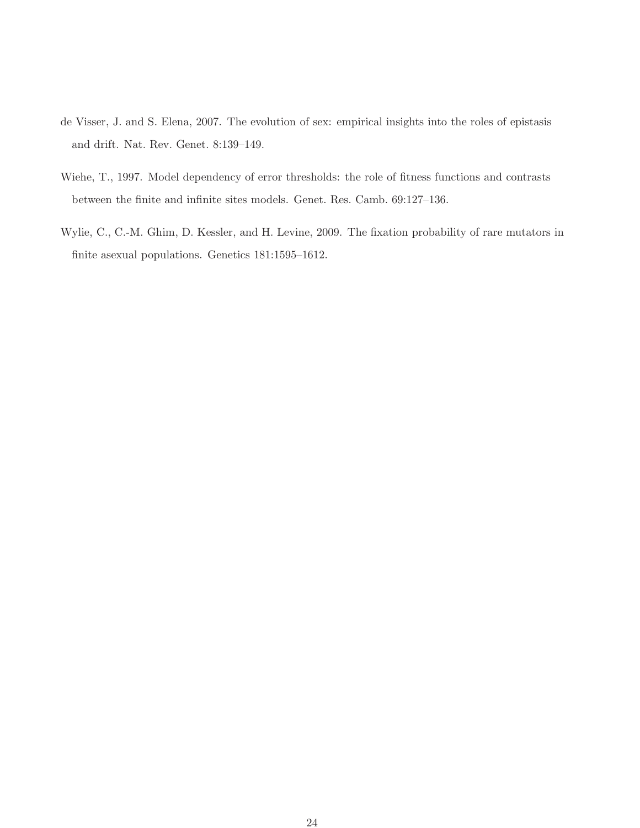- <span id="page-23-0"></span>de Visser, J. and S. Elena, 2007. The evolution of sex: empirical insights into the roles of epistasis and drift. Nat. Rev. Genet. 8:139–149.
- <span id="page-23-1"></span>Wiehe, T., 1997. Model dependency of error thresholds: the role of fitness functions and contrasts between the finite and infinite sites models. Genet. Res. Camb. 69:127–136.
- <span id="page-23-2"></span>Wylie, C., C.-M. Ghim, D. Kessler, and H. Levine, 2009. The fixation probability of rare mutators in finite asexual populations. Genetics 181:1595–1612.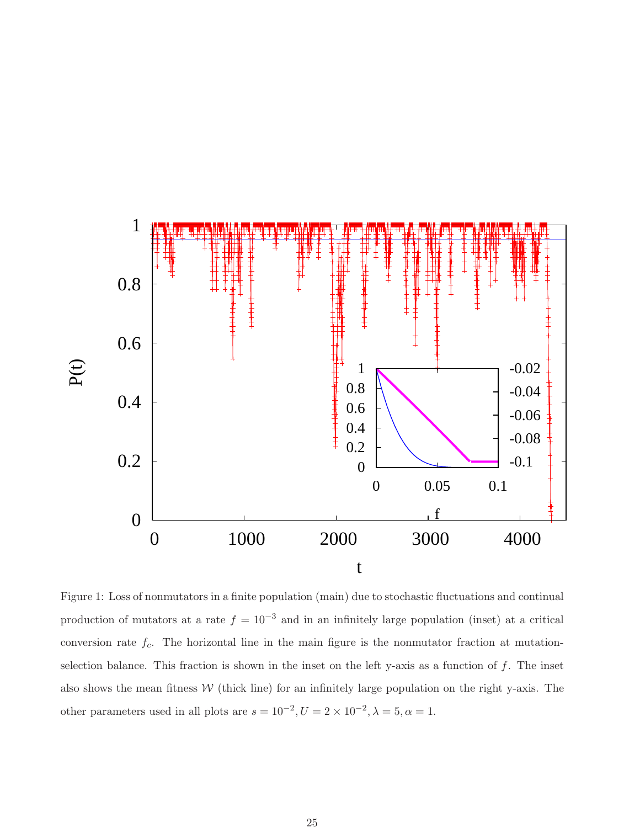

<span id="page-24-0"></span>Figure 1: Loss of nonmutators in a finite population (main) due to stochastic fluctuations and continual production of mutators at a rate  $f = 10^{-3}$  and in an infinitely large population (inset) at a critical conversion rate  $f_c$ . The horizontal line in the main figure is the nonmutator fraction at mutationselection balance. This fraction is shown in the inset on the left y-axis as a function of  $f$ . The inset also shows the mean fitness  $W$  (thick line) for an infinitely large population on the right y-axis. The other parameters used in all plots are  $s = 10^{-2}$ ,  $U = 2 \times 10^{-2}$ ,  $\lambda = 5$ ,  $\alpha = 1$ .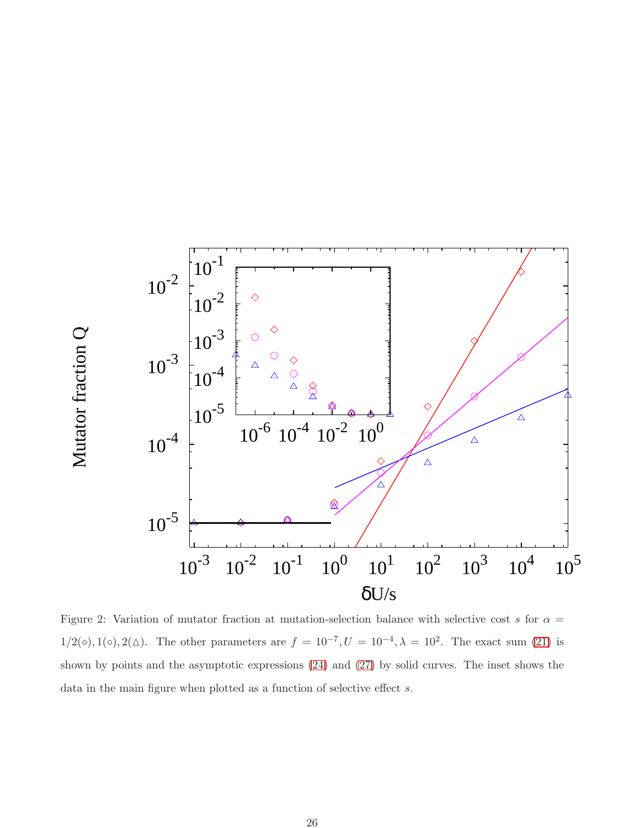

<span id="page-25-0"></span>Figure 2: Variation of mutator fraction at mutation-selection balance with selective cost s for  $\alpha =$  $1/2(\diamond), 1(\diamond), 2(\triangle)$ . The other parameters are  $f = 10^{-7}, U = 10^{-4}, \lambda = 10^{2}$ . The exact sum [\(21\)](#page-7-2) is shown by points and the asymptotic expressions [\(24\)](#page-8-0) and [\(27\)](#page-8-1) by solid curves. The inset shows the data in the main figure when plotted as a function of selective effect s.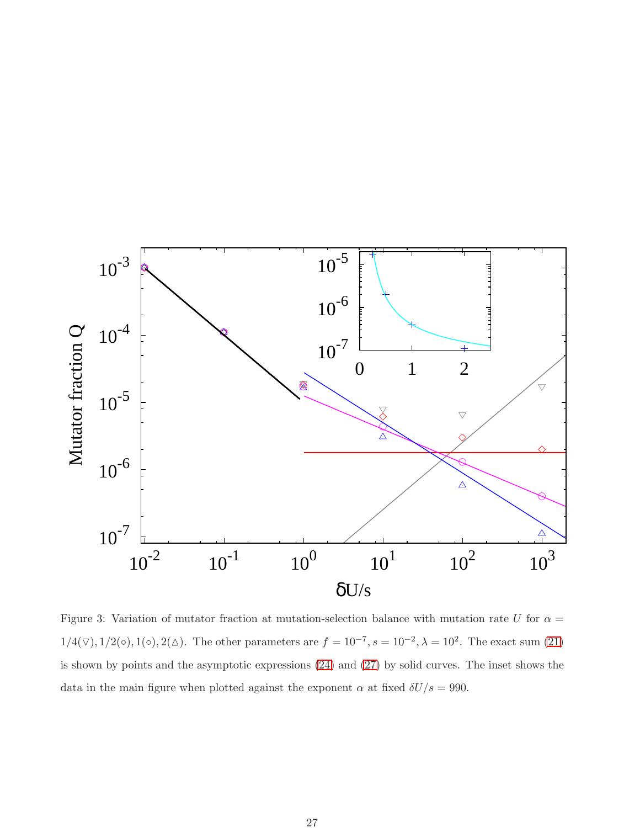

<span id="page-26-0"></span>Figure 3: Variation of mutator fraction at mutation-selection balance with mutation rate U for  $\alpha =$  $1/4(\nabla), 1/2(\diamond), 1(\diamond), 2(\triangle)$ . The other parameters are  $f = 10^{-7}, s = 10^{-2}, \lambda = 10^{2}$ . The exact sum [\(21\)](#page-7-2) is shown by points and the asymptotic expressions [\(24\)](#page-8-0) and [\(27\)](#page-8-1) by solid curves. The inset shows the data in the main figure when plotted against the exponent  $\alpha$  at fixed  $\delta U/s = 990$ .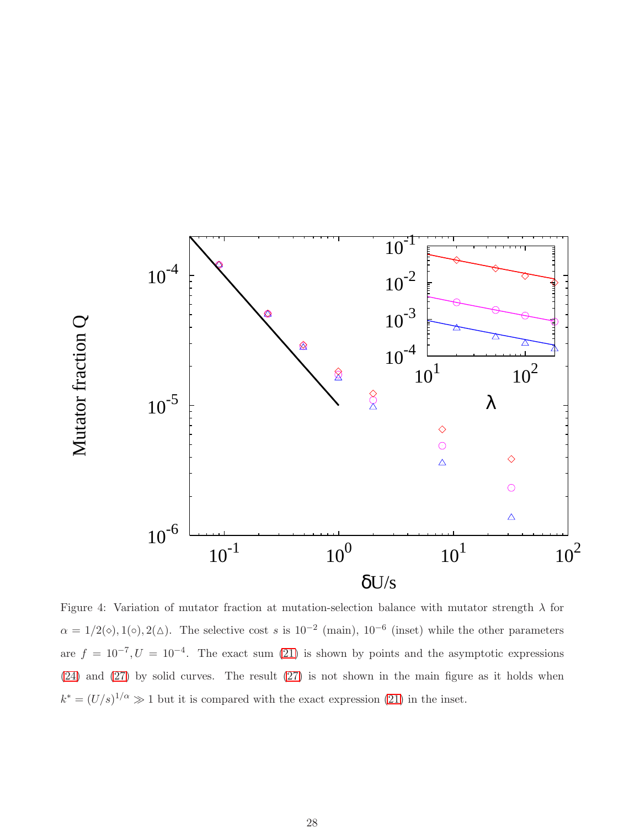

<span id="page-27-0"></span>Figure 4: Variation of mutator fraction at mutation-selection balance with mutator strength  $\lambda$  for  $\alpha = 1/2(\diamond), 1(\diamond), 2(\triangle)$ . The selective cost s is  $10^{-2}$  (main),  $10^{-6}$  (inset) while the other parameters are  $f = 10^{-7}, U = 10^{-4}$ . The exact sum [\(21\)](#page-7-2) is shown by points and the asymptotic expressions [\(24\)](#page-8-0) and [\(27\)](#page-8-1) by solid curves. The result [\(27\)](#page-8-1) is not shown in the main figure as it holds when  $k^* = (U/s)^{1/\alpha} \gg 1$  but it is compared with the exact expression [\(21\)](#page-7-2) in the inset.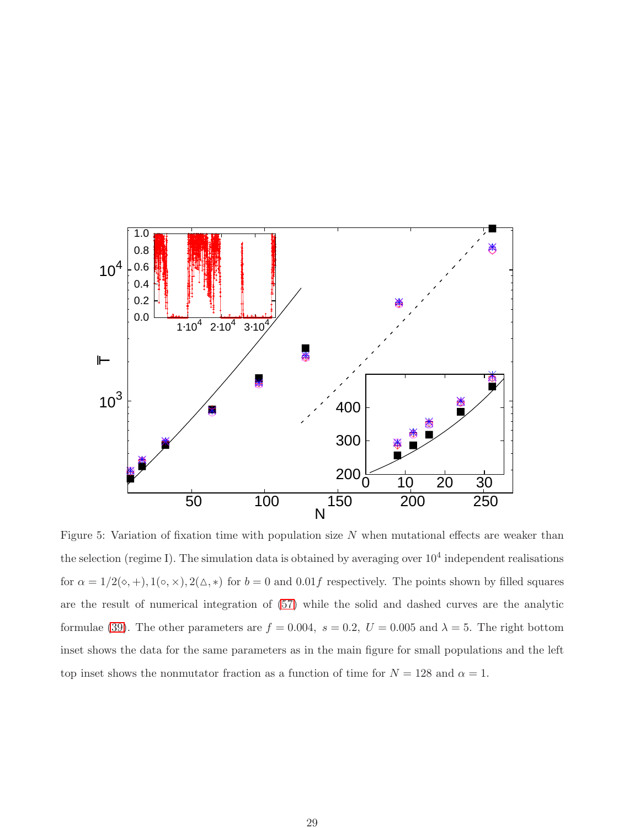

<span id="page-28-0"></span>Figure 5: Variation of fixation time with population size  $N$  when mutational effects are weaker than the selection (regime I). The simulation data is obtained by averaging over  $10^4$  independent realisations for  $\alpha = 1/2(\diamond, +)$ ,  $1(\diamond, \times)$ ,  $2(\triangle, *)$  for  $b = 0$  and  $0.01f$  respectively. The points shown by filled squares are the result of numerical integration of [\(57\)](#page-17-3) while the solid and dashed curves are the analytic formulae [\(39\)](#page-10-0). The other parameters are  $f = 0.004$ ,  $s = 0.2$ ,  $U = 0.005$  and  $\lambda = 5$ . The right bottom inset shows the data for the same parameters as in the main figure for small populations and the left top inset shows the nonmutator fraction as a function of time for  $N = 128$  and  $\alpha = 1$ .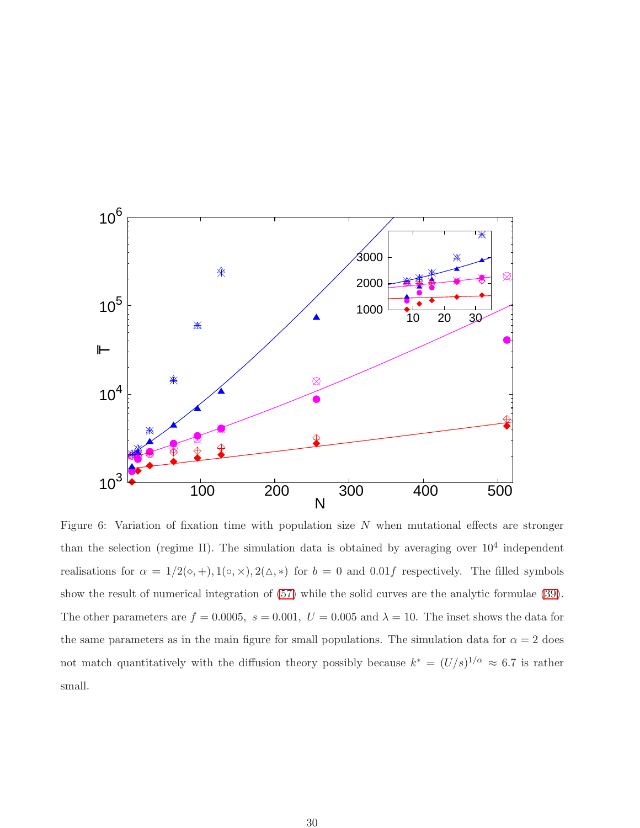

<span id="page-29-0"></span>Figure 6: Variation of fixation time with population size  $N$  when mutational effects are stronger than the selection (regime II). The simulation data is obtained by averaging over  $10^4$  independent realisations for  $\alpha = 1/2(\diamond, +), 1(\diamond, \times), 2(\triangle, *)$  for  $b = 0$  and  $0.01f$  respectively. The filled symbols show the result of numerical integration of [\(57\)](#page-17-3) while the solid curves are the analytic formulae [\(39\)](#page-10-0). The other parameters are  $f = 0.0005$ ,  $s = 0.001$ ,  $U = 0.005$  and  $\lambda = 10$ . The inset shows the data for the same parameters as in the main figure for small populations. The simulation data for  $\alpha = 2$  does not match quantitatively with the diffusion theory possibly because  $k^* = (U/s)^{1/\alpha} \approx 6.7$  is rather small.